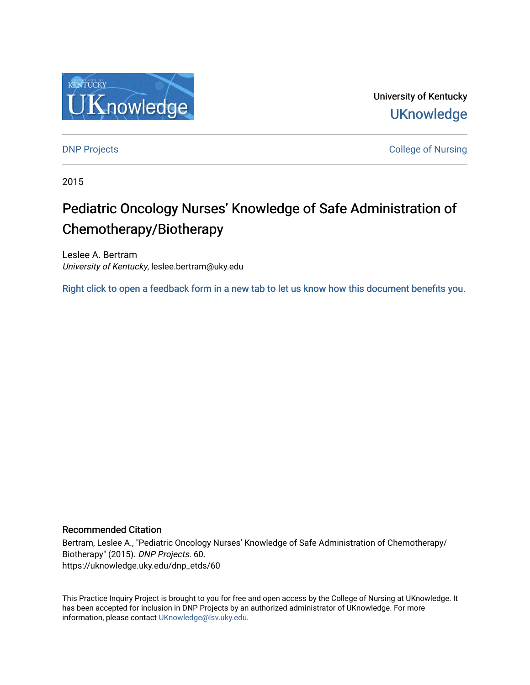

University of Kentucky **UKnowledge** 

[DNP Projects](https://uknowledge.uky.edu/dnp_etds) **College of Nursing** 

2015

# Pediatric Oncology Nurses' Knowledge of Safe Administration of Chemotherapy/Biotherapy

Leslee A. Bertram University of Kentucky, leslee.bertram@uky.edu

[Right click to open a feedback form in a new tab to let us know how this document benefits you.](https://uky.az1.qualtrics.com/jfe/form/SV_9mq8fx2GnONRfz7)

# Recommended Citation

Bertram, Leslee A., "Pediatric Oncology Nurses' Knowledge of Safe Administration of Chemotherapy/ Biotherapy" (2015). DNP Projects. 60. https://uknowledge.uky.edu/dnp\_etds/60

This Practice Inquiry Project is brought to you for free and open access by the College of Nursing at UKnowledge. It has been accepted for inclusion in DNP Projects by an authorized administrator of UKnowledge. For more information, please contact [UKnowledge@lsv.uky.edu](mailto:UKnowledge@lsv.uky.edu).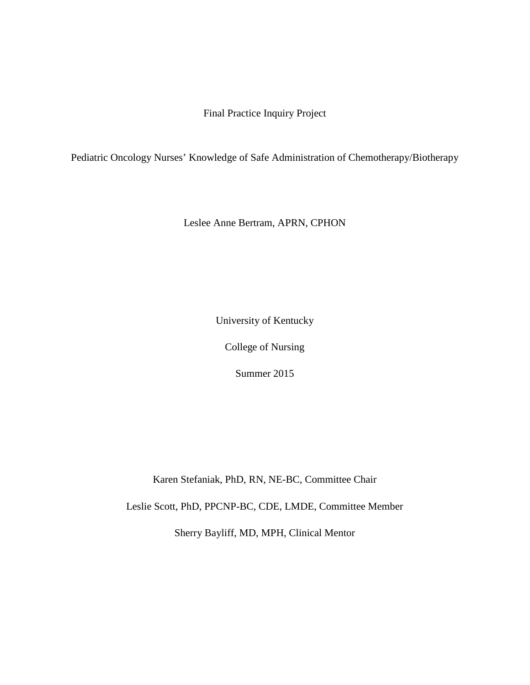Final Practice Inquiry Project

Pediatric Oncology Nurses' Knowledge of Safe Administration of Chemotherapy/Biotherapy

Leslee Anne Bertram, APRN, CPHON

University of Kentucky

College of Nursing

Summer 2015

Karen Stefaniak, PhD, RN, NE-BC, Committee Chair

Leslie Scott, PhD, PPCNP-BC, CDE, LMDE, Committee Member

Sherry Bayliff, MD, MPH, Clinical Mentor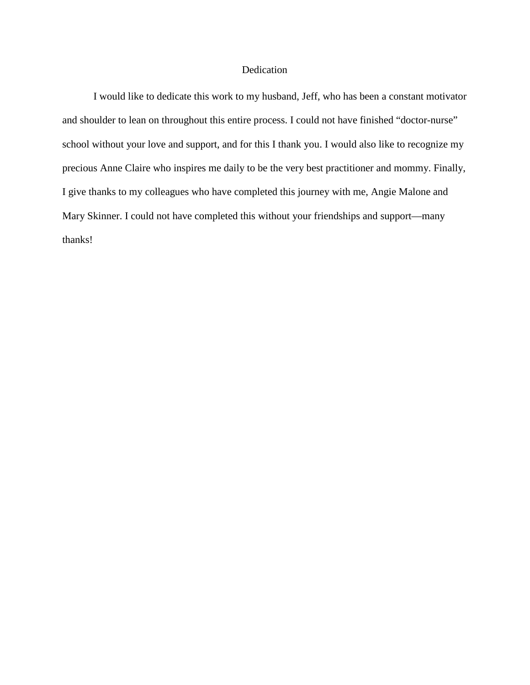## Dedication

I would like to dedicate this work to my husband, Jeff, who has been a constant motivator and shoulder to lean on throughout this entire process. I could not have finished "doctor-nurse" school without your love and support, and for this I thank you. I would also like to recognize my precious Anne Claire who inspires me daily to be the very best practitioner and mommy. Finally, I give thanks to my colleagues who have completed this journey with me, Angie Malone and Mary Skinner. I could not have completed this without your friendships and support—many thanks!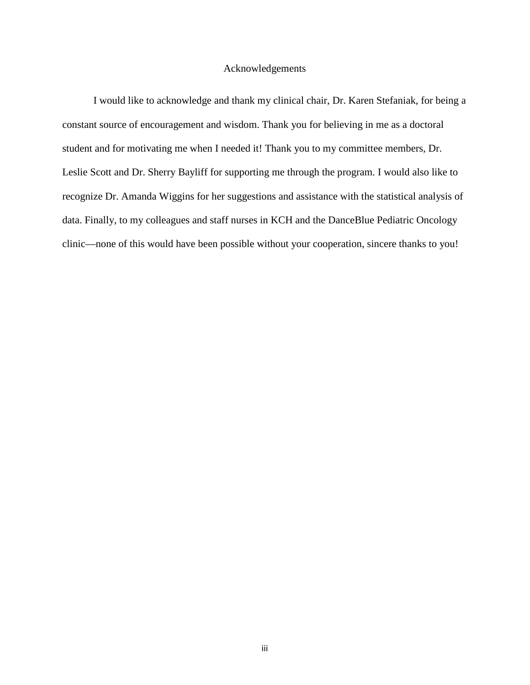#### Acknowledgements

I would like to acknowledge and thank my clinical chair, Dr. Karen Stefaniak, for being a constant source of encouragement and wisdom. Thank you for believing in me as a doctoral student and for motivating me when I needed it! Thank you to my committee members, Dr. Leslie Scott and Dr. Sherry Bayliff for supporting me through the program. I would also like to recognize Dr. Amanda Wiggins for her suggestions and assistance with the statistical analysis of data. Finally, to my colleagues and staff nurses in KCH and the DanceBlue Pediatric Oncology clinic—none of this would have been possible without your cooperation, sincere thanks to you!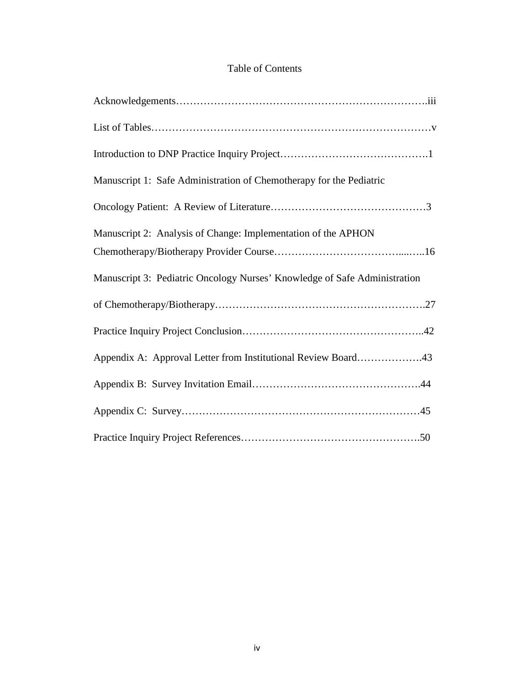# Table of Contents

| Manuscript 1: Safe Administration of Chemotherapy for the Pediatric       |
|---------------------------------------------------------------------------|
|                                                                           |
| Manuscript 2: Analysis of Change: Implementation of the APHON             |
| Manuscript 3: Pediatric Oncology Nurses' Knowledge of Safe Administration |
|                                                                           |
|                                                                           |
| Appendix A: Approval Letter from Institutional Review Board43             |
|                                                                           |
|                                                                           |
|                                                                           |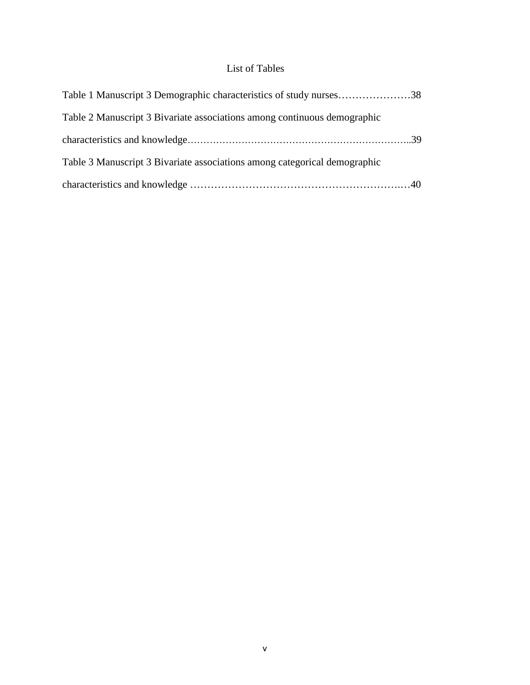# List of Tables

| Table 1 Manuscript 3 Demographic characteristics of study nurses38        |  |
|---------------------------------------------------------------------------|--|
| Table 2 Manuscript 3 Bivariate associations among continuous demographic  |  |
|                                                                           |  |
| Table 3 Manuscript 3 Bivariate associations among categorical demographic |  |
|                                                                           |  |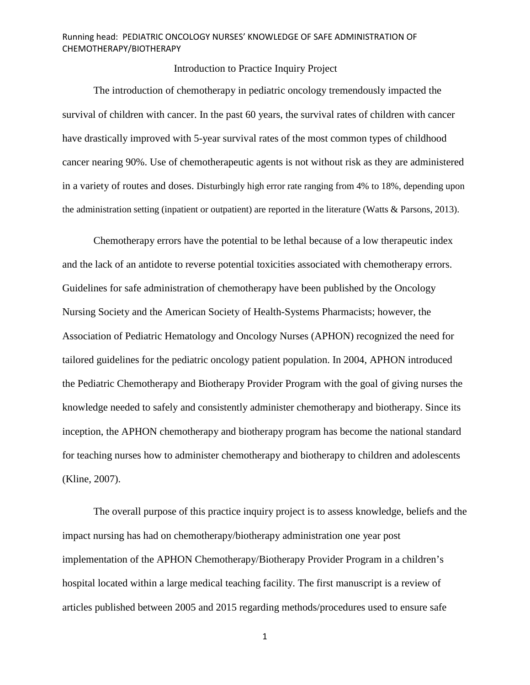# Introduction to Practice Inquiry Project

The introduction of chemotherapy in pediatric oncology tremendously impacted the survival of children with cancer. In the past 60 years, the survival rates of children with cancer have drastically improved with 5-year survival rates of the most common types of childhood cancer nearing 90%. Use of chemotherapeutic agents is not without risk as they are administered in a variety of routes and doses. Disturbingly high error rate ranging from 4% to 18%, depending upon the administration setting (inpatient or outpatient) are reported in the literature (Watts & Parsons, 2013).

Chemotherapy errors have the potential to be lethal because of a low therapeutic index and the lack of an antidote to reverse potential toxicities associated with chemotherapy errors. Guidelines for safe administration of chemotherapy have been published by the Oncology Nursing Society and the American Society of Health-Systems Pharmacists; however, the Association of Pediatric Hematology and Oncology Nurses (APHON) recognized the need for tailored guidelines for the pediatric oncology patient population. In 2004, APHON introduced the Pediatric Chemotherapy and Biotherapy Provider Program with the goal of giving nurses the knowledge needed to safely and consistently administer chemotherapy and biotherapy. Since its inception, the APHON chemotherapy and biotherapy program has become the national standard for teaching nurses how to administer chemotherapy and biotherapy to children and adolescents (Kline, 2007).

The overall purpose of this practice inquiry project is to assess knowledge, beliefs and the impact nursing has had on chemotherapy/biotherapy administration one year post implementation of the APHON Chemotherapy/Biotherapy Provider Program in a children's hospital located within a large medical teaching facility. The first manuscript is a review of articles published between 2005 and 2015 regarding methods/procedures used to ensure safe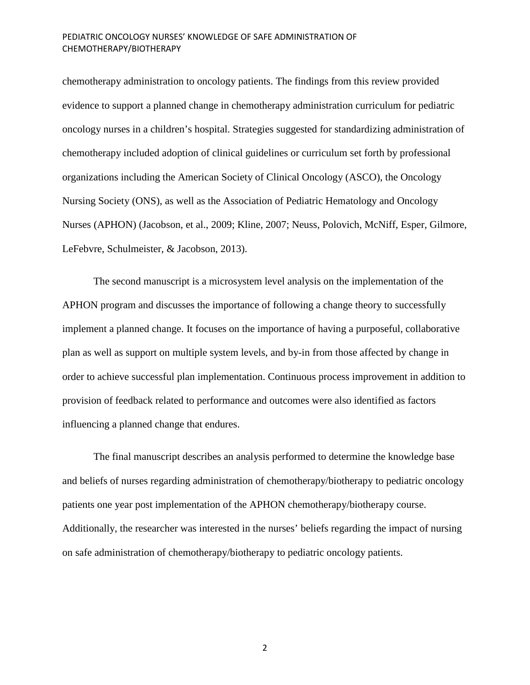chemotherapy administration to oncology patients. The findings from this review provided evidence to support a planned change in chemotherapy administration curriculum for pediatric oncology nurses in a children's hospital. Strategies suggested for standardizing administration of chemotherapy included adoption of clinical guidelines or curriculum set forth by professional organizations including the American Society of Clinical Oncology (ASCO), the Oncology Nursing Society (ONS), as well as the Association of Pediatric Hematology and Oncology Nurses (APHON) (Jacobson, et al., 2009; Kline, 2007; Neuss, Polovich, McNiff, Esper, Gilmore, LeFebvre, Schulmeister, & Jacobson, 2013).

The second manuscript is a microsystem level analysis on the implementation of the APHON program and discusses the importance of following a change theory to successfully implement a planned change. It focuses on the importance of having a purposeful, collaborative plan as well as support on multiple system levels, and by-in from those affected by change in order to achieve successful plan implementation. Continuous process improvement in addition to provision of feedback related to performance and outcomes were also identified as factors influencing a planned change that endures.

The final manuscript describes an analysis performed to determine the knowledge base and beliefs of nurses regarding administration of chemotherapy/biotherapy to pediatric oncology patients one year post implementation of the APHON chemotherapy/biotherapy course. Additionally, the researcher was interested in the nurses' beliefs regarding the impact of nursing on safe administration of chemotherapy/biotherapy to pediatric oncology patients.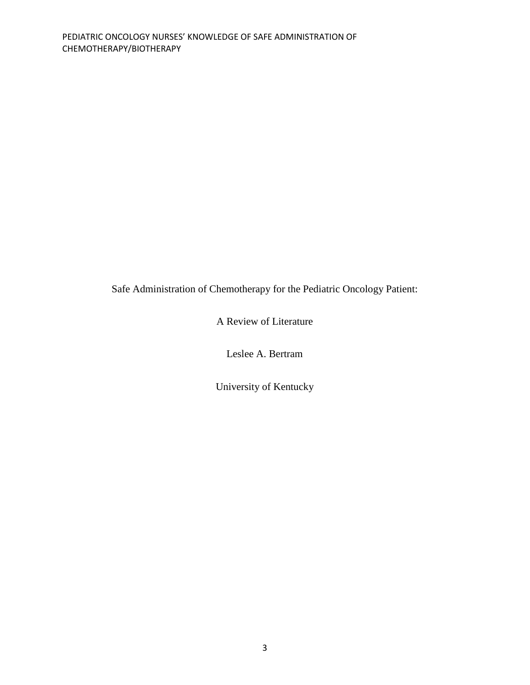Safe Administration of Chemotherapy for the Pediatric Oncology Patient:

A Review of Literature

Leslee A. Bertram

University of Kentucky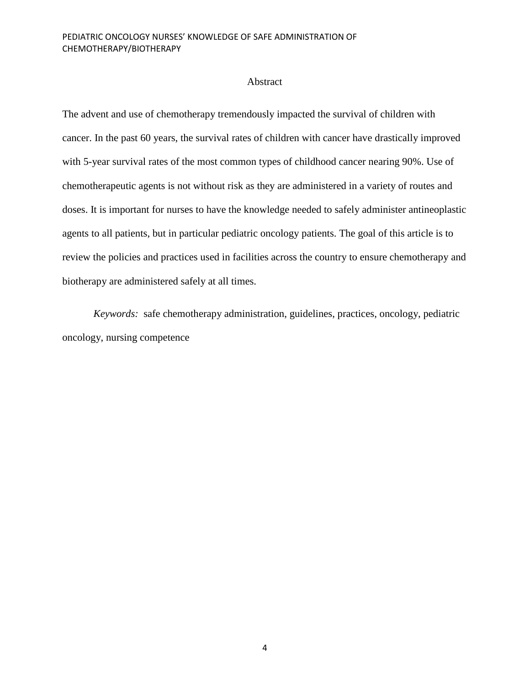#### Abstract

The advent and use of chemotherapy tremendously impacted the survival of children with cancer. In the past 60 years, the survival rates of children with cancer have drastically improved with 5-year survival rates of the most common types of childhood cancer nearing 90%. Use of chemotherapeutic agents is not without risk as they are administered in a variety of routes and doses. It is important for nurses to have the knowledge needed to safely administer antineoplastic agents to all patients, but in particular pediatric oncology patients. The goal of this article is to review the policies and practices used in facilities across the country to ensure chemotherapy and biotherapy are administered safely at all times.

*Keywords:* safe chemotherapy administration, guidelines, practices, oncology, pediatric oncology, nursing competence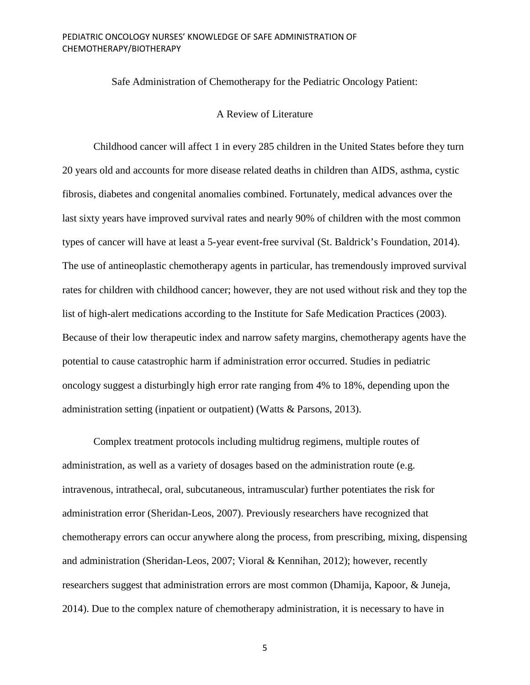Safe Administration of Chemotherapy for the Pediatric Oncology Patient:

# A Review of Literature

Childhood cancer will affect 1 in every 285 children in the United States before they turn 20 years old and accounts for more disease related deaths in children than AIDS, asthma, cystic fibrosis, diabetes and congenital anomalies combined. Fortunately, medical advances over the last sixty years have improved survival rates and nearly 90% of children with the most common types of cancer will have at least a 5-year event-free survival (St. Baldrick's Foundation, 2014). The use of antineoplastic chemotherapy agents in particular, has tremendously improved survival rates for children with childhood cancer; however, they are not used without risk and they top the list of high-alert medications according to the Institute for Safe Medication Practices (2003). Because of their low therapeutic index and narrow safety margins, chemotherapy agents have the potential to cause catastrophic harm if administration error occurred. Studies in pediatric oncology suggest a disturbingly high error rate ranging from 4% to 18%, depending upon the administration setting (inpatient or outpatient) (Watts & Parsons, 2013).

Complex treatment protocols including multidrug regimens, multiple routes of administration, as well as a variety of dosages based on the administration route (e.g. intravenous, intrathecal, oral, subcutaneous, intramuscular) further potentiates the risk for administration error (Sheridan-Leos, 2007). Previously researchers have recognized that chemotherapy errors can occur anywhere along the process, from prescribing, mixing, dispensing and administration (Sheridan-Leos, 2007; Vioral & Kennihan, 2012); however, recently researchers suggest that administration errors are most common (Dhamija, Kapoor, & Juneja, 2014). Due to the complex nature of chemotherapy administration, it is necessary to have in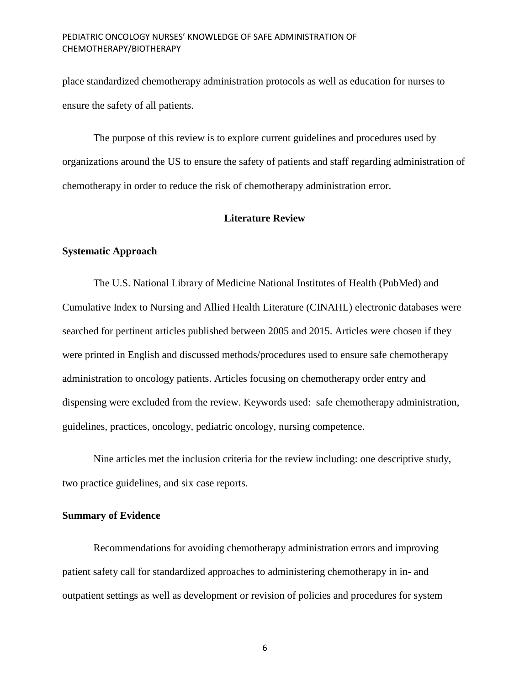place standardized chemotherapy administration protocols as well as education for nurses to ensure the safety of all patients.

The purpose of this review is to explore current guidelines and procedures used by organizations around the US to ensure the safety of patients and staff regarding administration of chemotherapy in order to reduce the risk of chemotherapy administration error.

#### **Literature Review**

#### **Systematic Approach**

The U.S. National Library of Medicine National Institutes of Health (PubMed) and Cumulative Index to Nursing and Allied Health Literature (CINAHL) electronic databases were searched for pertinent articles published between 2005 and 2015. Articles were chosen if they were printed in English and discussed methods/procedures used to ensure safe chemotherapy administration to oncology patients. Articles focusing on chemotherapy order entry and dispensing were excluded from the review. Keywords used: safe chemotherapy administration, guidelines, practices, oncology, pediatric oncology, nursing competence.

Nine articles met the inclusion criteria for the review including: one descriptive study, two practice guidelines, and six case reports.

#### **Summary of Evidence**

Recommendations for avoiding chemotherapy administration errors and improving patient safety call for standardized approaches to administering chemotherapy in in- and outpatient settings as well as development or revision of policies and procedures for system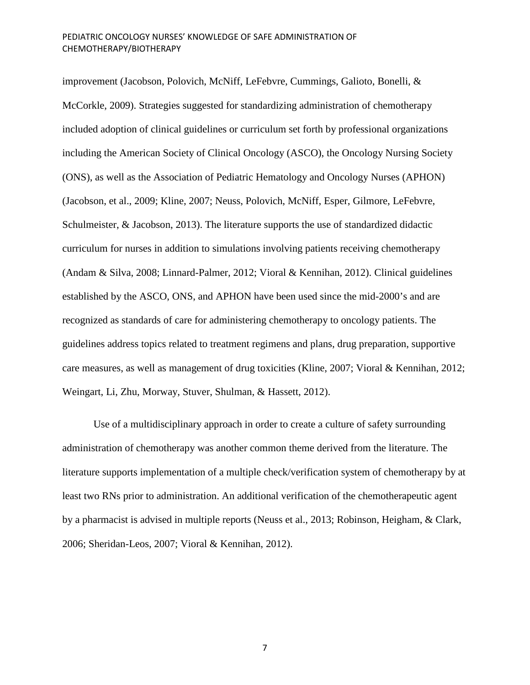improvement (Jacobson, Polovich, McNiff, LeFebvre, Cummings, Galioto, Bonelli, & McCorkle, 2009). Strategies suggested for standardizing administration of chemotherapy included adoption of clinical guidelines or curriculum set forth by professional organizations including the American Society of Clinical Oncology (ASCO), the Oncology Nursing Society (ONS), as well as the Association of Pediatric Hematology and Oncology Nurses (APHON) (Jacobson, et al., 2009; Kline, 2007; Neuss, Polovich, McNiff, Esper, Gilmore, LeFebvre, Schulmeister, & Jacobson, 2013). The literature supports the use of standardized didactic curriculum for nurses in addition to simulations involving patients receiving chemotherapy (Andam & Silva, 2008; Linnard-Palmer, 2012; Vioral & Kennihan, 2012). Clinical guidelines established by the ASCO, ONS, and APHON have been used since the mid-2000's and are recognized as standards of care for administering chemotherapy to oncology patients. The guidelines address topics related to treatment regimens and plans, drug preparation, supportive care measures, as well as management of drug toxicities (Kline, 2007; Vioral & Kennihan, 2012; Weingart, Li, Zhu, Morway, Stuver, Shulman, & Hassett, 2012).

Use of a multidisciplinary approach in order to create a culture of safety surrounding administration of chemotherapy was another common theme derived from the literature. The literature supports implementation of a multiple check/verification system of chemotherapy by at least two RNs prior to administration. An additional verification of the chemotherapeutic agent by a pharmacist is advised in multiple reports (Neuss et al., 2013; Robinson, Heigham, & Clark, 2006; Sheridan-Leos, 2007; Vioral & Kennihan, 2012).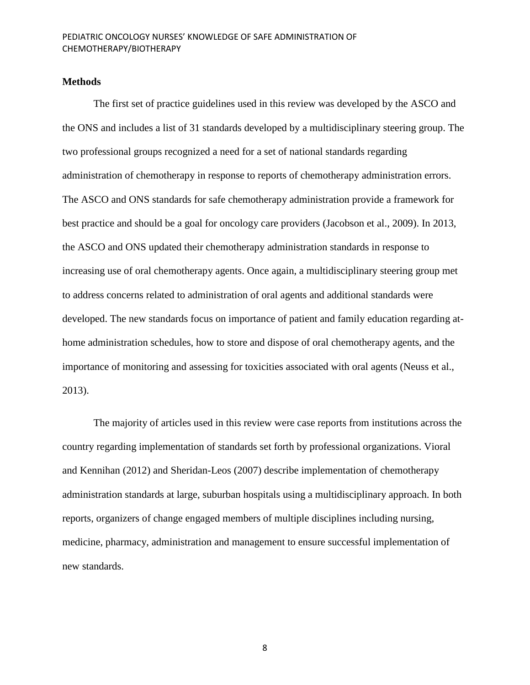# **Methods**

The first set of practice guidelines used in this review was developed by the ASCO and the ONS and includes a list of 31 standards developed by a multidisciplinary steering group. The two professional groups recognized a need for a set of national standards regarding administration of chemotherapy in response to reports of chemotherapy administration errors. The ASCO and ONS standards for safe chemotherapy administration provide a framework for best practice and should be a goal for oncology care providers (Jacobson et al., 2009). In 2013, the ASCO and ONS updated their chemotherapy administration standards in response to increasing use of oral chemotherapy agents. Once again, a multidisciplinary steering group met to address concerns related to administration of oral agents and additional standards were developed. The new standards focus on importance of patient and family education regarding athome administration schedules, how to store and dispose of oral chemotherapy agents, and the importance of monitoring and assessing for toxicities associated with oral agents (Neuss et al., 2013).

The majority of articles used in this review were case reports from institutions across the country regarding implementation of standards set forth by professional organizations. Vioral and Kennihan (2012) and Sheridan-Leos (2007) describe implementation of chemotherapy administration standards at large, suburban hospitals using a multidisciplinary approach. In both reports, organizers of change engaged members of multiple disciplines including nursing, medicine, pharmacy, administration and management to ensure successful implementation of new standards.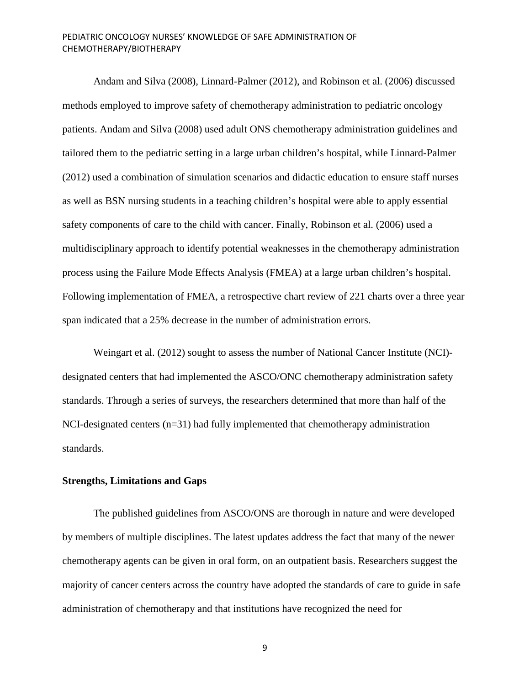Andam and Silva (2008), Linnard-Palmer (2012), and Robinson et al. (2006) discussed methods employed to improve safety of chemotherapy administration to pediatric oncology patients. Andam and Silva (2008) used adult ONS chemotherapy administration guidelines and tailored them to the pediatric setting in a large urban children's hospital, while Linnard-Palmer (2012) used a combination of simulation scenarios and didactic education to ensure staff nurses as well as BSN nursing students in a teaching children's hospital were able to apply essential safety components of care to the child with cancer. Finally, Robinson et al. (2006) used a multidisciplinary approach to identify potential weaknesses in the chemotherapy administration process using the Failure Mode Effects Analysis (FMEA) at a large urban children's hospital. Following implementation of FMEA, a retrospective chart review of 221 charts over a three year span indicated that a 25% decrease in the number of administration errors.

Weingart et al. (2012) sought to assess the number of National Cancer Institute (NCI) designated centers that had implemented the ASCO/ONC chemotherapy administration safety standards. Through a series of surveys, the researchers determined that more than half of the NCI-designated centers (n=31) had fully implemented that chemotherapy administration standards.

# **Strengths, Limitations and Gaps**

The published guidelines from ASCO/ONS are thorough in nature and were developed by members of multiple disciplines. The latest updates address the fact that many of the newer chemotherapy agents can be given in oral form, on an outpatient basis. Researchers suggest the majority of cancer centers across the country have adopted the standards of care to guide in safe administration of chemotherapy and that institutions have recognized the need for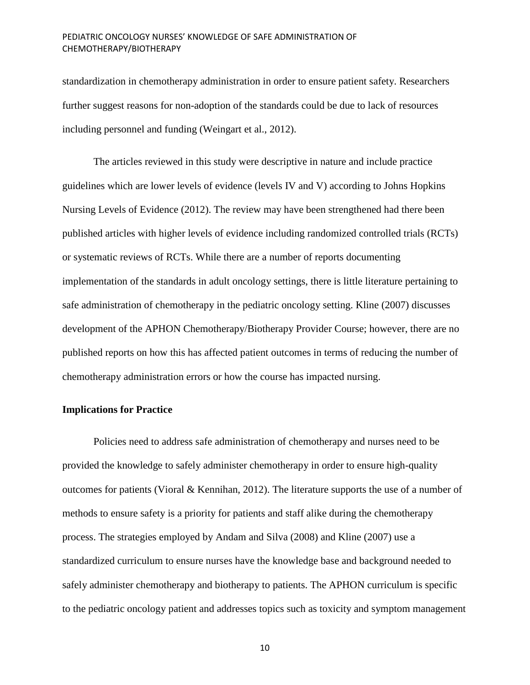standardization in chemotherapy administration in order to ensure patient safety. Researchers further suggest reasons for non-adoption of the standards could be due to lack of resources including personnel and funding (Weingart et al., 2012).

The articles reviewed in this study were descriptive in nature and include practice guidelines which are lower levels of evidence (levels IV and V) according to Johns Hopkins Nursing Levels of Evidence (2012). The review may have been strengthened had there been published articles with higher levels of evidence including randomized controlled trials (RCTs) or systematic reviews of RCTs. While there are a number of reports documenting implementation of the standards in adult oncology settings, there is little literature pertaining to safe administration of chemotherapy in the pediatric oncology setting. Kline (2007) discusses development of the APHON Chemotherapy/Biotherapy Provider Course; however, there are no published reports on how this has affected patient outcomes in terms of reducing the number of chemotherapy administration errors or how the course has impacted nursing.

# **Implications for Practice**

Policies need to address safe administration of chemotherapy and nurses need to be provided the knowledge to safely administer chemotherapy in order to ensure high-quality outcomes for patients (Vioral & Kennihan, 2012). The literature supports the use of a number of methods to ensure safety is a priority for patients and staff alike during the chemotherapy process. The strategies employed by Andam and Silva (2008) and Kline (2007) use a standardized curriculum to ensure nurses have the knowledge base and background needed to safely administer chemotherapy and biotherapy to patients. The APHON curriculum is specific to the pediatric oncology patient and addresses topics such as toxicity and symptom management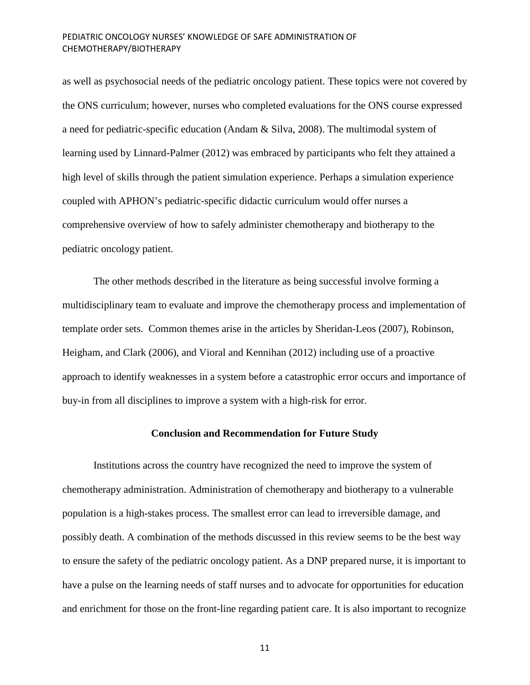as well as psychosocial needs of the pediatric oncology patient. These topics were not covered by the ONS curriculum; however, nurses who completed evaluations for the ONS course expressed a need for pediatric-specific education (Andam & Silva, 2008). The multimodal system of learning used by Linnard-Palmer (2012) was embraced by participants who felt they attained a high level of skills through the patient simulation experience. Perhaps a simulation experience coupled with APHON's pediatric-specific didactic curriculum would offer nurses a comprehensive overview of how to safely administer chemotherapy and biotherapy to the pediatric oncology patient.

The other methods described in the literature as being successful involve forming a multidisciplinary team to evaluate and improve the chemotherapy process and implementation of template order sets. Common themes arise in the articles by Sheridan-Leos (2007), Robinson, Heigham, and Clark (2006), and Vioral and Kennihan (2012) including use of a proactive approach to identify weaknesses in a system before a catastrophic error occurs and importance of buy-in from all disciplines to improve a system with a high-risk for error.

## **Conclusion and Recommendation for Future Study**

Institutions across the country have recognized the need to improve the system of chemotherapy administration. Administration of chemotherapy and biotherapy to a vulnerable population is a high-stakes process. The smallest error can lead to irreversible damage, and possibly death. A combination of the methods discussed in this review seems to be the best way to ensure the safety of the pediatric oncology patient. As a DNP prepared nurse, it is important to have a pulse on the learning needs of staff nurses and to advocate for opportunities for education and enrichment for those on the front-line regarding patient care. It is also important to recognize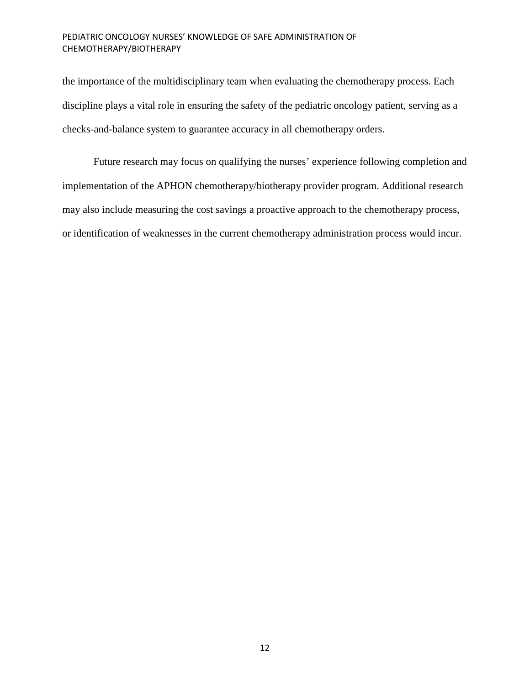the importance of the multidisciplinary team when evaluating the chemotherapy process. Each discipline plays a vital role in ensuring the safety of the pediatric oncology patient, serving as a checks-and-balance system to guarantee accuracy in all chemotherapy orders.

Future research may focus on qualifying the nurses' experience following completion and implementation of the APHON chemotherapy/biotherapy provider program. Additional research may also include measuring the cost savings a proactive approach to the chemotherapy process, or identification of weaknesses in the current chemotherapy administration process would incur.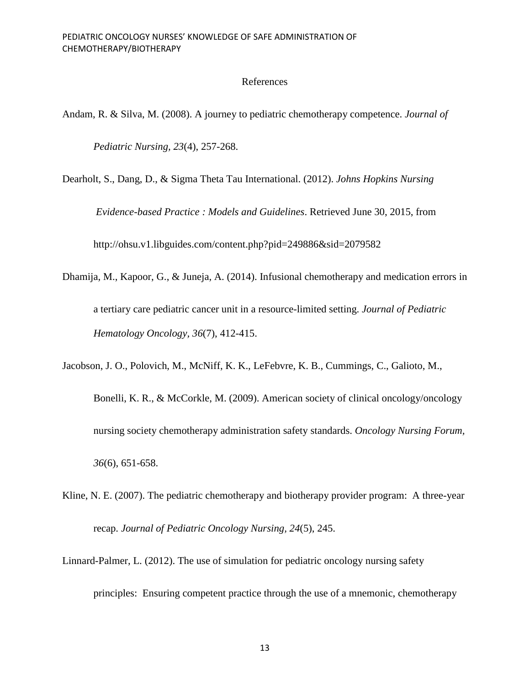# References

Andam, R. & Silva, M. (2008). A journey to pediatric chemotherapy competence. *Journal of* 

*Pediatric Nursing, 23*(4), 257-268.

Dearholt, S., Dang, D., & Sigma Theta Tau International. (2012). *Johns Hopkins Nursing Evidence-based Practice : Models and Guidelines*. Retrieved June 30, 2015, from http://ohsu.v1.libguides.com/content.php?pid=249886&sid=2079582

- Dhamija, M., Kapoor, G., & Juneja, A. (2014). Infusional chemotherapy and medication errors in a tertiary care pediatric cancer unit in a resource-limited setting. *Journal of Pediatric Hematology Oncology, 36*(7), 412-415.
- Jacobson, J. O., Polovich, M., McNiff, K. K., LeFebvre, K. B., Cummings, C., Galioto, M., Bonelli, K. R., & McCorkle, M. (2009). American society of clinical oncology/oncology nursing society chemotherapy administration safety standards. *Oncology Nursing Forum, 36*(6), 651-658.
- Kline, N. E. (2007). The pediatric chemotherapy and biotherapy provider program: A three-year recap. *Journal of Pediatric Oncology Nursing, 24*(5), 245.
- Linnard-Palmer, L. (2012). The use of simulation for pediatric oncology nursing safety principles: Ensuring competent practice through the use of a mnemonic, chemotherapy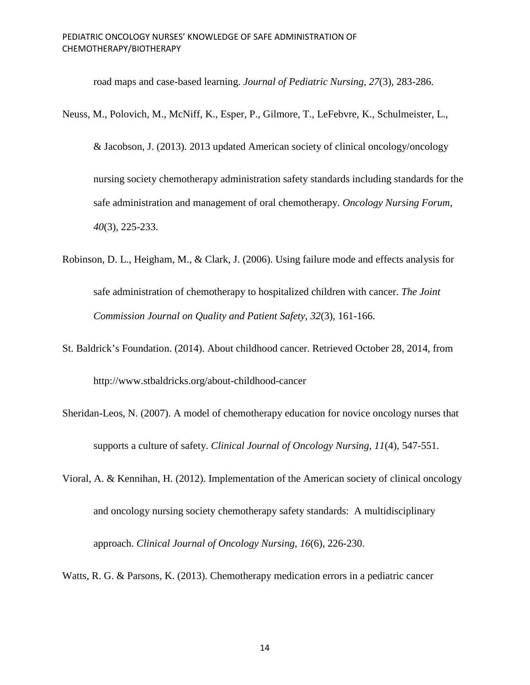road maps and case-based learning. *Journal of Pediatric Nursing, 27*(3), 283-286.

Neuss, M., Polovich, M., McNiff, K., Esper, P., Gilmore, T., LeFebvre, K., Schulmeister, L.,

& Jacobson, J. (2013). 2013 updated American society of clinical oncology/oncology nursing society chemotherapy administration safety standards including standards for the safe administration and management of oral chemotherapy. *Oncology Nursing Forum, 40*(3), 225-233.

- Robinson, D. L., Heigham, M., & Clark, J. (2006). Using failure mode and effects analysis for safe administration of chemotherapy to hospitalized children with cancer. *The Joint Commission Journal on Quality and Patient Safety, 32*(3), 161-166.
- St. Baldrick's Foundation. (2014). About childhood cancer. Retrieved October 28, 2014, from http://www.stbaldricks.org/about-childhood-cancer
- Sheridan-Leos, N. (2007). A model of chemotherapy education for novice oncology nurses that supports a culture of safety. *Clinical Journal of Oncology Nursing, 11*(4), 547-551.
- Vioral, A. & Kennihan, H. (2012). Implementation of the American society of clinical oncology and oncology nursing society chemotherapy safety standards: A multidisciplinary approach. *Clinical Journal of Oncology Nursing, 16*(6), 226-230.

Watts, R. G. & Parsons, K. (2013). Chemotherapy medication errors in a pediatric cancer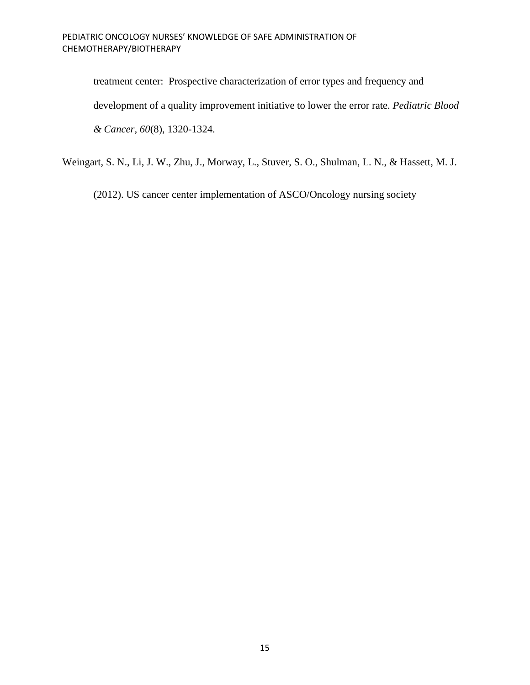treatment center: Prospective characterization of error types and frequency and development of a quality improvement initiative to lower the error rate. *Pediatric Blood & Cancer, 60*(8), 1320-1324.

Weingart, S. N., Li, J. W., Zhu, J., Morway, L., Stuver, S. O., Shulman, L. N., & Hassett, M. J.

(2012). US cancer center implementation of ASCO/Oncology nursing society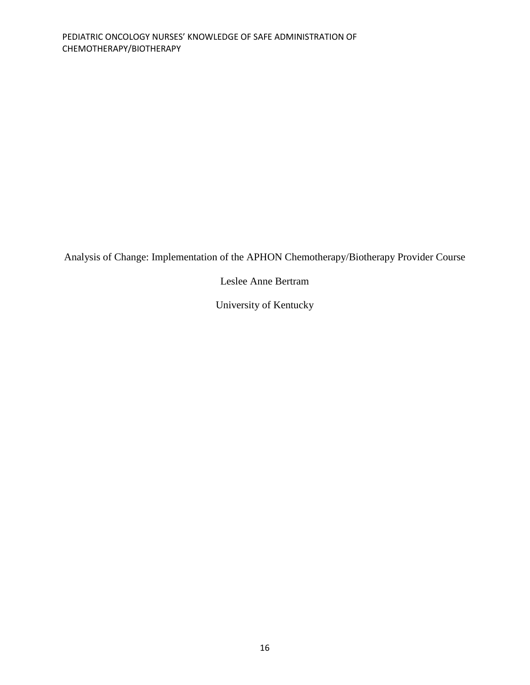Analysis of Change: Implementation of the APHON Chemotherapy/Biotherapy Provider Course

Leslee Anne Bertram

University of Kentucky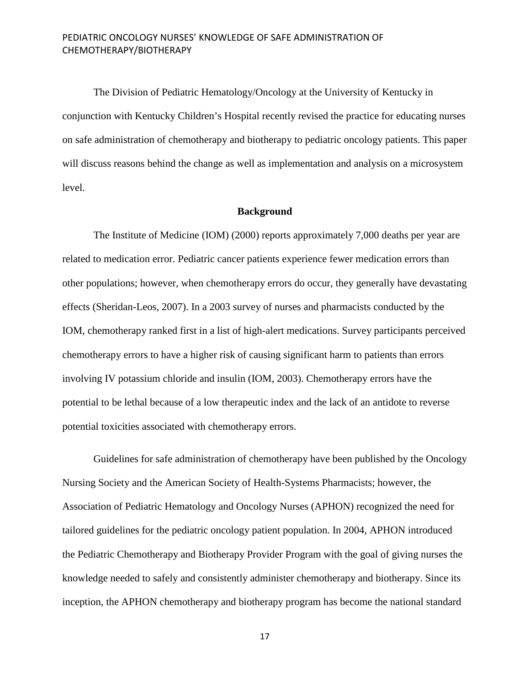The Division of Pediatric Hematology/Oncology at the University of Kentucky in conjunction with Kentucky Children's Hospital recently revised the practice for educating nurses on safe administration of chemotherapy and biotherapy to pediatric oncology patients. This paper will discuss reasons behind the change as well as implementation and analysis on a microsystem level.

# **Background**

The Institute of Medicine (IOM) (2000) reports approximately 7,000 deaths per year are related to medication error. Pediatric cancer patients experience fewer medication errors than other populations; however, when chemotherapy errors do occur, they generally have devastating effects (Sheridan-Leos, 2007). In a 2003 survey of nurses and pharmacists conducted by the IOM, chemotherapy ranked first in a list of high-alert medications. Survey participants perceived chemotherapy errors to have a higher risk of causing significant harm to patients than errors involving IV potassium chloride and insulin (IOM, 2003). Chemotherapy errors have the potential to be lethal because of a low therapeutic index and the lack of an antidote to reverse potential toxicities associated with chemotherapy errors.

Guidelines for safe administration of chemotherapy have been published by the Oncology Nursing Society and the American Society of Health-Systems Pharmacists; however, the Association of Pediatric Hematology and Oncology Nurses (APHON) recognized the need for tailored guidelines for the pediatric oncology patient population. In 2004, APHON introduced the Pediatric Chemotherapy and Biotherapy Provider Program with the goal of giving nurses the knowledge needed to safely and consistently administer chemotherapy and biotherapy. Since its inception, the APHON chemotherapy and biotherapy program has become the national standard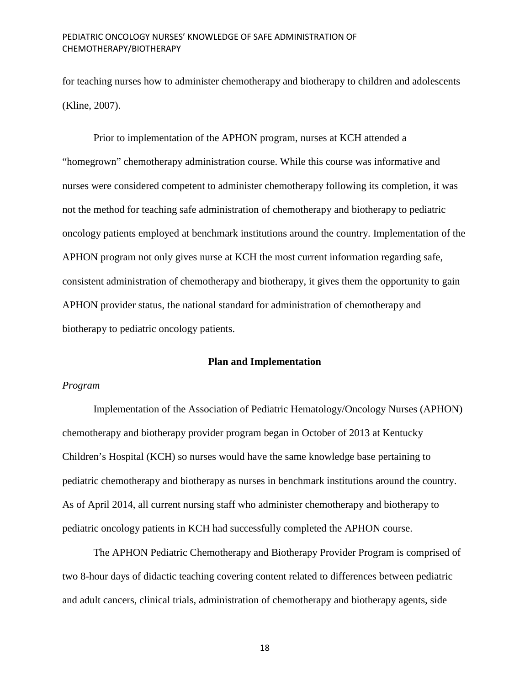for teaching nurses how to administer chemotherapy and biotherapy to children and adolescents (Kline, 2007).

Prior to implementation of the APHON program, nurses at KCH attended a "homegrown" chemotherapy administration course. While this course was informative and nurses were considered competent to administer chemotherapy following its completion, it was not the method for teaching safe administration of chemotherapy and biotherapy to pediatric oncology patients employed at benchmark institutions around the country. Implementation of the APHON program not only gives nurse at KCH the most current information regarding safe, consistent administration of chemotherapy and biotherapy, it gives them the opportunity to gain APHON provider status, the national standard for administration of chemotherapy and biotherapy to pediatric oncology patients.

# **Plan and Implementation**

#### *Program*

Implementation of the Association of Pediatric Hematology/Oncology Nurses (APHON) chemotherapy and biotherapy provider program began in October of 2013 at Kentucky Children's Hospital (KCH) so nurses would have the same knowledge base pertaining to pediatric chemotherapy and biotherapy as nurses in benchmark institutions around the country. As of April 2014, all current nursing staff who administer chemotherapy and biotherapy to pediatric oncology patients in KCH had successfully completed the APHON course.

The APHON Pediatric Chemotherapy and Biotherapy Provider Program is comprised of two 8-hour days of didactic teaching covering content related to differences between pediatric and adult cancers, clinical trials, administration of chemotherapy and biotherapy agents, side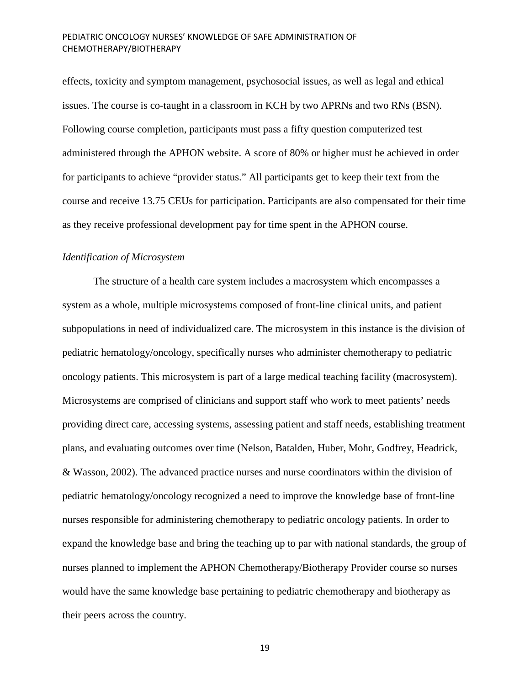effects, toxicity and symptom management, psychosocial issues, as well as legal and ethical issues. The course is co-taught in a classroom in KCH by two APRNs and two RNs (BSN). Following course completion, participants must pass a fifty question computerized test administered through the APHON website. A score of 80% or higher must be achieved in order for participants to achieve "provider status." All participants get to keep their text from the course and receive 13.75 CEUs for participation. Participants are also compensated for their time as they receive professional development pay for time spent in the APHON course.

# *Identification of Microsystem*

The structure of a health care system includes a macrosystem which encompasses a system as a whole, multiple microsystems composed of front-line clinical units, and patient subpopulations in need of individualized care. The microsystem in this instance is the division of pediatric hematology/oncology, specifically nurses who administer chemotherapy to pediatric oncology patients. This microsystem is part of a large medical teaching facility (macrosystem). Microsystems are comprised of clinicians and support staff who work to meet patients' needs providing direct care, accessing systems, assessing patient and staff needs, establishing treatment plans, and evaluating outcomes over time (Nelson, Batalden, Huber, Mohr, Godfrey, Headrick, & Wasson, 2002). The advanced practice nurses and nurse coordinators within the division of pediatric hematology/oncology recognized a need to improve the knowledge base of front-line nurses responsible for administering chemotherapy to pediatric oncology patients. In order to expand the knowledge base and bring the teaching up to par with national standards, the group of nurses planned to implement the APHON Chemotherapy/Biotherapy Provider course so nurses would have the same knowledge base pertaining to pediatric chemotherapy and biotherapy as their peers across the country.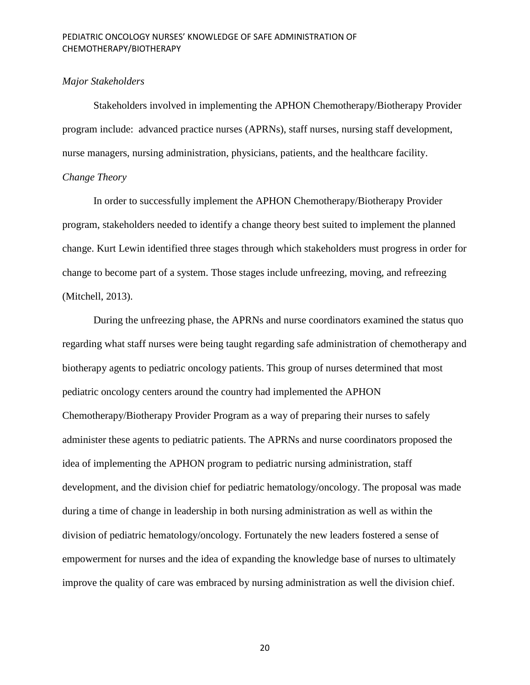#### *Major Stakeholders*

Stakeholders involved in implementing the APHON Chemotherapy/Biotherapy Provider program include: advanced practice nurses (APRNs), staff nurses, nursing staff development, nurse managers, nursing administration, physicians, patients, and the healthcare facility.

# *Change Theory*

In order to successfully implement the APHON Chemotherapy/Biotherapy Provider program, stakeholders needed to identify a change theory best suited to implement the planned change. Kurt Lewin identified three stages through which stakeholders must progress in order for change to become part of a system. Those stages include unfreezing, moving, and refreezing (Mitchell, 2013).

During the unfreezing phase, the APRNs and nurse coordinators examined the status quo regarding what staff nurses were being taught regarding safe administration of chemotherapy and biotherapy agents to pediatric oncology patients. This group of nurses determined that most pediatric oncology centers around the country had implemented the APHON Chemotherapy/Biotherapy Provider Program as a way of preparing their nurses to safely administer these agents to pediatric patients. The APRNs and nurse coordinators proposed the idea of implementing the APHON program to pediatric nursing administration, staff development, and the division chief for pediatric hematology/oncology. The proposal was made during a time of change in leadership in both nursing administration as well as within the division of pediatric hematology/oncology. Fortunately the new leaders fostered a sense of empowerment for nurses and the idea of expanding the knowledge base of nurses to ultimately improve the quality of care was embraced by nursing administration as well the division chief.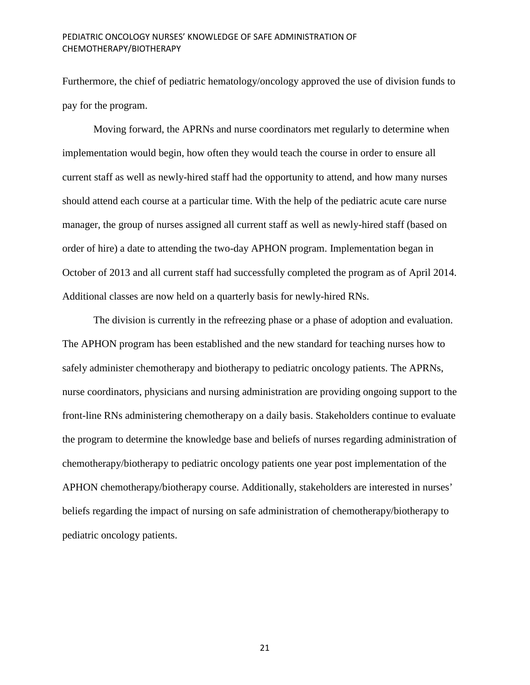Furthermore, the chief of pediatric hematology/oncology approved the use of division funds to pay for the program.

Moving forward, the APRNs and nurse coordinators met regularly to determine when implementation would begin, how often they would teach the course in order to ensure all current staff as well as newly-hired staff had the opportunity to attend, and how many nurses should attend each course at a particular time. With the help of the pediatric acute care nurse manager, the group of nurses assigned all current staff as well as newly-hired staff (based on order of hire) a date to attending the two-day APHON program. Implementation began in October of 2013 and all current staff had successfully completed the program as of April 2014. Additional classes are now held on a quarterly basis for newly-hired RNs.

The division is currently in the refreezing phase or a phase of adoption and evaluation. The APHON program has been established and the new standard for teaching nurses how to safely administer chemotherapy and biotherapy to pediatric oncology patients. The APRNs, nurse coordinators, physicians and nursing administration are providing ongoing support to the front-line RNs administering chemotherapy on a daily basis. Stakeholders continue to evaluate the program to determine the knowledge base and beliefs of nurses regarding administration of chemotherapy/biotherapy to pediatric oncology patients one year post implementation of the APHON chemotherapy/biotherapy course. Additionally, stakeholders are interested in nurses' beliefs regarding the impact of nursing on safe administration of chemotherapy/biotherapy to pediatric oncology patients.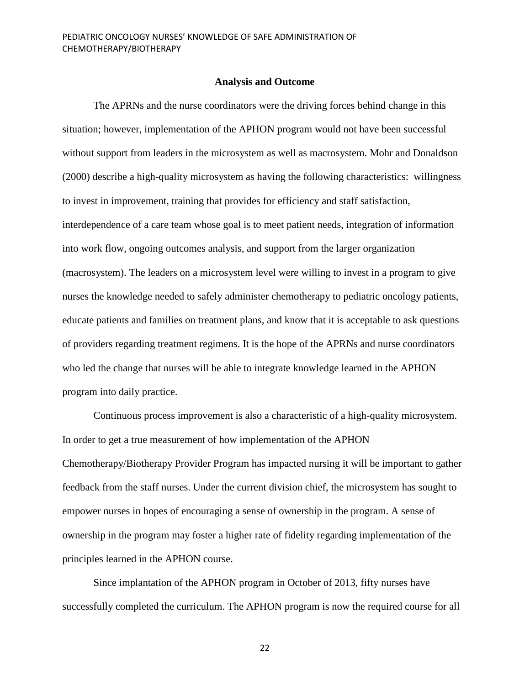#### **Analysis and Outcome**

The APRNs and the nurse coordinators were the driving forces behind change in this situation; however, implementation of the APHON program would not have been successful without support from leaders in the microsystem as well as macrosystem. Mohr and Donaldson (2000) describe a high-quality microsystem as having the following characteristics: willingness to invest in improvement, training that provides for efficiency and staff satisfaction, interdependence of a care team whose goal is to meet patient needs, integration of information into work flow, ongoing outcomes analysis, and support from the larger organization (macrosystem). The leaders on a microsystem level were willing to invest in a program to give nurses the knowledge needed to safely administer chemotherapy to pediatric oncology patients, educate patients and families on treatment plans, and know that it is acceptable to ask questions of providers regarding treatment regimens. It is the hope of the APRNs and nurse coordinators who led the change that nurses will be able to integrate knowledge learned in the APHON program into daily practice.

Continuous process improvement is also a characteristic of a high-quality microsystem. In order to get a true measurement of how implementation of the APHON Chemotherapy/Biotherapy Provider Program has impacted nursing it will be important to gather feedback from the staff nurses. Under the current division chief, the microsystem has sought to empower nurses in hopes of encouraging a sense of ownership in the program. A sense of ownership in the program may foster a higher rate of fidelity regarding implementation of the principles learned in the APHON course.

Since implantation of the APHON program in October of 2013, fifty nurses have successfully completed the curriculum. The APHON program is now the required course for all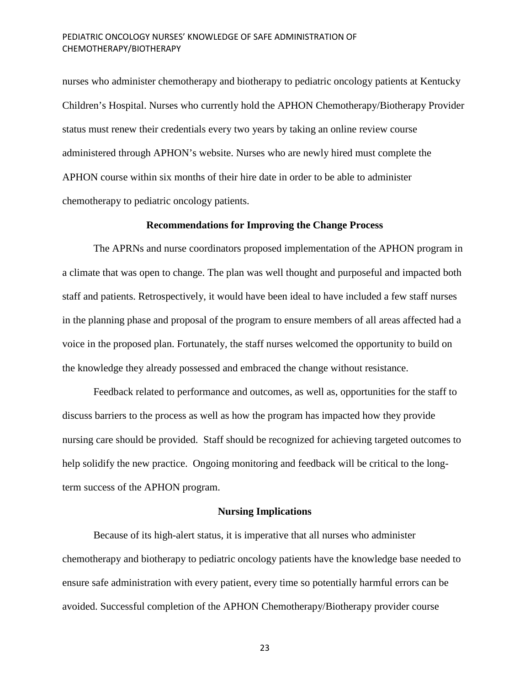nurses who administer chemotherapy and biotherapy to pediatric oncology patients at Kentucky Children's Hospital. Nurses who currently hold the APHON Chemotherapy/Biotherapy Provider status must renew their credentials every two years by taking an online review course administered through APHON's website. Nurses who are newly hired must complete the APHON course within six months of their hire date in order to be able to administer chemotherapy to pediatric oncology patients.

# **Recommendations for Improving the Change Process**

The APRNs and nurse coordinators proposed implementation of the APHON program in a climate that was open to change. The plan was well thought and purposeful and impacted both staff and patients. Retrospectively, it would have been ideal to have included a few staff nurses in the planning phase and proposal of the program to ensure members of all areas affected had a voice in the proposed plan. Fortunately, the staff nurses welcomed the opportunity to build on the knowledge they already possessed and embraced the change without resistance.

Feedback related to performance and outcomes, as well as, opportunities for the staff to discuss barriers to the process as well as how the program has impacted how they provide nursing care should be provided. Staff should be recognized for achieving targeted outcomes to help solidify the new practice. Ongoing monitoring and feedback will be critical to the longterm success of the APHON program.

#### **Nursing Implications**

Because of its high-alert status, it is imperative that all nurses who administer chemotherapy and biotherapy to pediatric oncology patients have the knowledge base needed to ensure safe administration with every patient, every time so potentially harmful errors can be avoided. Successful completion of the APHON Chemotherapy/Biotherapy provider course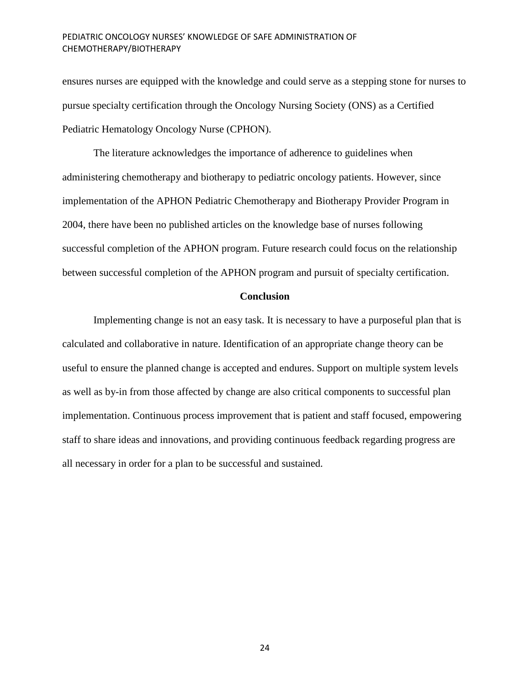ensures nurses are equipped with the knowledge and could serve as a stepping stone for nurses to pursue specialty certification through the Oncology Nursing Society (ONS) as a Certified Pediatric Hematology Oncology Nurse (CPHON).

The literature acknowledges the importance of adherence to guidelines when administering chemotherapy and biotherapy to pediatric oncology patients. However, since implementation of the APHON Pediatric Chemotherapy and Biotherapy Provider Program in 2004, there have been no published articles on the knowledge base of nurses following successful completion of the APHON program. Future research could focus on the relationship between successful completion of the APHON program and pursuit of specialty certification.

## **Conclusion**

Implementing change is not an easy task. It is necessary to have a purposeful plan that is calculated and collaborative in nature. Identification of an appropriate change theory can be useful to ensure the planned change is accepted and endures. Support on multiple system levels as well as by-in from those affected by change are also critical components to successful plan implementation. Continuous process improvement that is patient and staff focused, empowering staff to share ideas and innovations, and providing continuous feedback regarding progress are all necessary in order for a plan to be successful and sustained.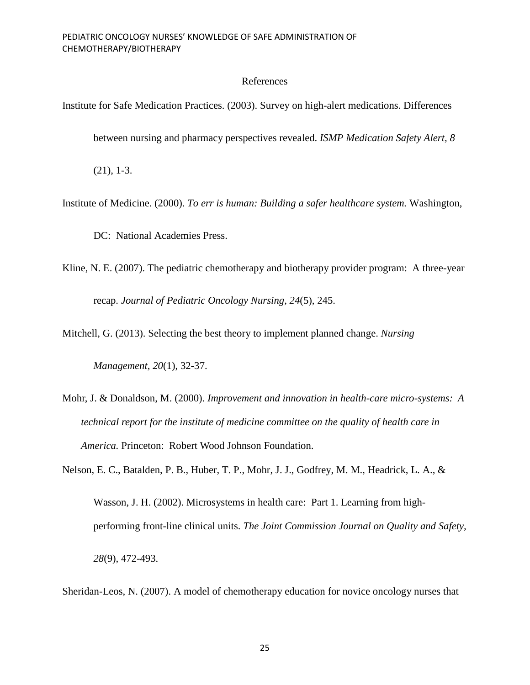# References

Institute for Safe Medication Practices. (2003). Survey on high-alert medications. Differences

between nursing and pharmacy perspectives revealed. *ISMP Medication Safety Alert, 8*

(21), 1-3.

Institute of Medicine. (2000). *To err is human: Building a safer healthcare system.* Washington,

DC: National Academies Press.

Kline, N. E. (2007). The pediatric chemotherapy and biotherapy provider program: A three-year recap. *Journal of Pediatric Oncology Nursing, 24*(5), 245.

Mitchell, G. (2013). Selecting the best theory to implement planned change. *Nursing* 

*Management, 20*(1), 32-37.

Mohr, J. & Donaldson, M. (2000). *Improvement and innovation in health-care micro-systems: A technical report for the institute of medicine committee on the quality of health care in America.* Princeton: Robert Wood Johnson Foundation.

Nelson, E. C., Batalden, P. B., Huber, T. P., Mohr, J. J., Godfrey, M. M., Headrick, L. A., & Wasson, J. H. (2002). Microsystems in health care: Part 1. Learning from highperforming front-line clinical units. *The Joint Commission Journal on Quality and Safety, 28*(9), 472-493.

Sheridan-Leos, N. (2007). A model of chemotherapy education for novice oncology nurses that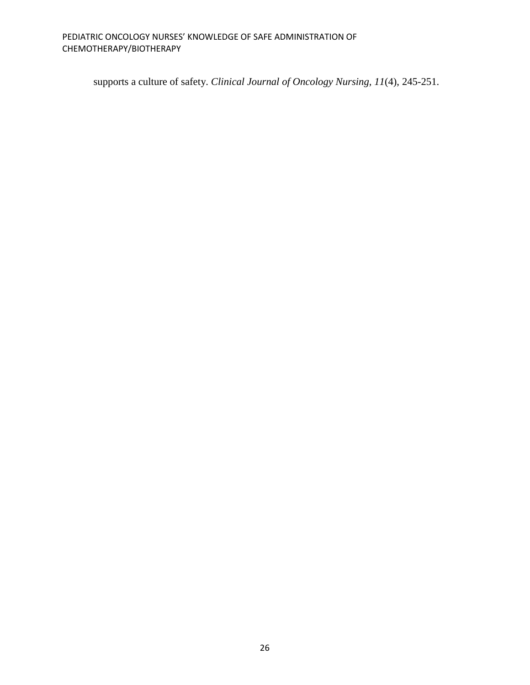supports a culture of safety. *Clinical Journal of Oncology Nursing, 11*(4), 245-251.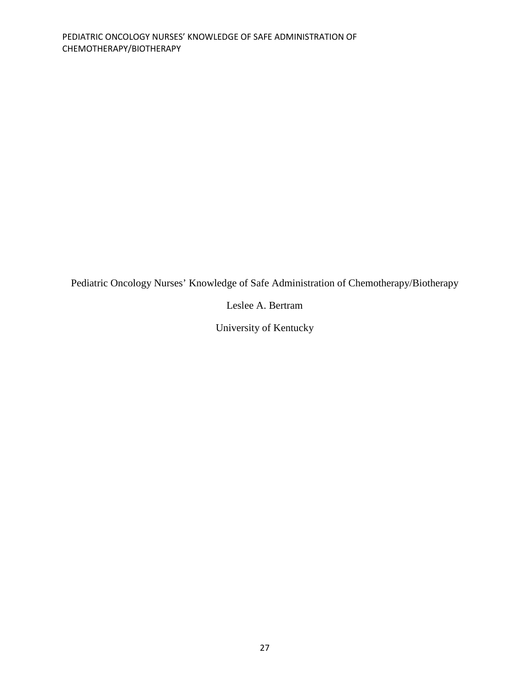Pediatric Oncology Nurses' Knowledge of Safe Administration of Chemotherapy/Biotherapy

Leslee A. Bertram

University of Kentucky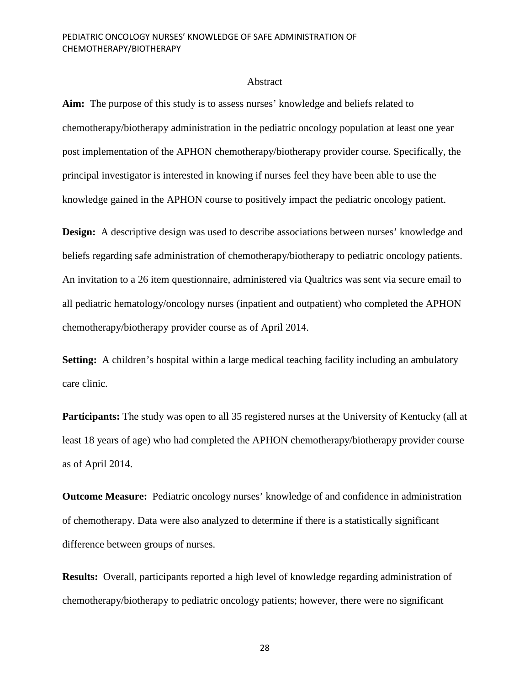#### Abstract

**Aim:** The purpose of this study is to assess nurses' knowledge and beliefs related to chemotherapy/biotherapy administration in the pediatric oncology population at least one year post implementation of the APHON chemotherapy/biotherapy provider course. Specifically, the principal investigator is interested in knowing if nurses feel they have been able to use the knowledge gained in the APHON course to positively impact the pediatric oncology patient.

**Design:** A descriptive design was used to describe associations between nurses' knowledge and beliefs regarding safe administration of chemotherapy/biotherapy to pediatric oncology patients. An invitation to a 26 item questionnaire, administered via Qualtrics was sent via secure email to all pediatric hematology/oncology nurses (inpatient and outpatient) who completed the APHON chemotherapy/biotherapy provider course as of April 2014.

**Setting:** A children's hospital within a large medical teaching facility including an ambulatory care clinic.

**Participants:** The study was open to all 35 registered nurses at the University of Kentucky (all at least 18 years of age) who had completed the APHON chemotherapy/biotherapy provider course as of April 2014.

**Outcome Measure:** Pediatric oncology nurses' knowledge of and confidence in administration of chemotherapy. Data were also analyzed to determine if there is a statistically significant difference between groups of nurses.

**Results:** Overall, participants reported a high level of knowledge regarding administration of chemotherapy/biotherapy to pediatric oncology patients; however, there were no significant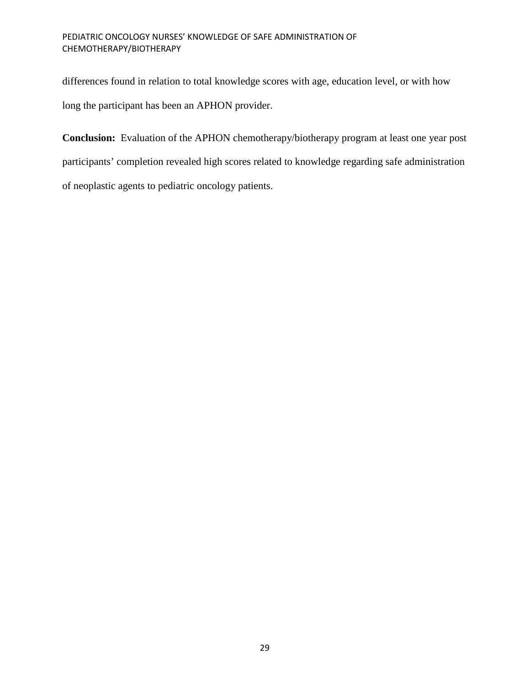differences found in relation to total knowledge scores with age, education level, or with how long the participant has been an APHON provider.

**Conclusion:** Evaluation of the APHON chemotherapy/biotherapy program at least one year post participants' completion revealed high scores related to knowledge regarding safe administration of neoplastic agents to pediatric oncology patients.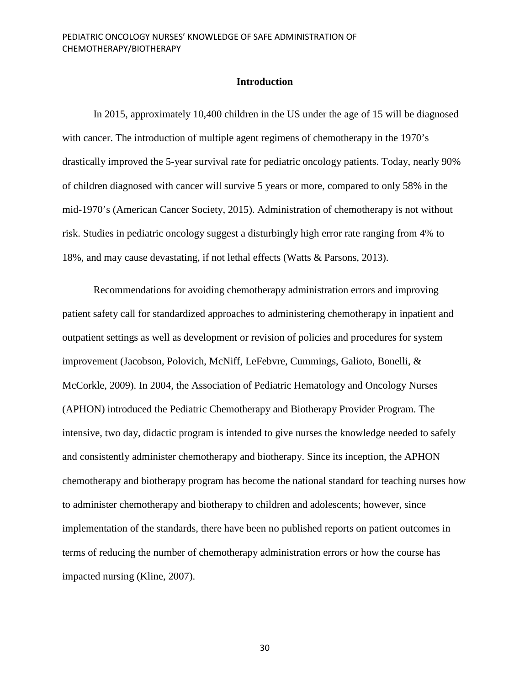## **Introduction**

In 2015, approximately 10,400 children in the US under the age of 15 will be diagnosed with cancer. The introduction of multiple agent regimens of chemotherapy in the 1970's drastically improved the 5-year survival rate for pediatric oncology patients. Today, nearly 90% of children diagnosed with cancer will survive 5 years or more, compared to only 58% in the mid-1970's (American Cancer Society, 2015). Administration of chemotherapy is not without risk. Studies in pediatric oncology suggest a disturbingly high error rate ranging from 4% to 18%, and may cause devastating, if not lethal effects (Watts & Parsons, 2013).

Recommendations for avoiding chemotherapy administration errors and improving patient safety call for standardized approaches to administering chemotherapy in inpatient and outpatient settings as well as development or revision of policies and procedures for system improvement (Jacobson, Polovich, McNiff, LeFebvre, Cummings, Galioto, Bonelli, & McCorkle, 2009). In 2004, the Association of Pediatric Hematology and Oncology Nurses (APHON) introduced the Pediatric Chemotherapy and Biotherapy Provider Program. The intensive, two day, didactic program is intended to give nurses the knowledge needed to safely and consistently administer chemotherapy and biotherapy. Since its inception, the APHON chemotherapy and biotherapy program has become the national standard for teaching nurses how to administer chemotherapy and biotherapy to children and adolescents; however, since implementation of the standards, there have been no published reports on patient outcomes in terms of reducing the number of chemotherapy administration errors or how the course has impacted nursing (Kline, 2007).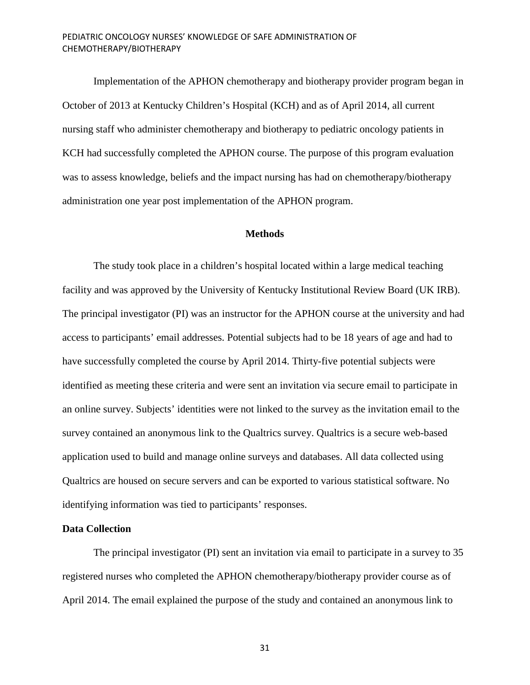Implementation of the APHON chemotherapy and biotherapy provider program began in October of 2013 at Kentucky Children's Hospital (KCH) and as of April 2014, all current nursing staff who administer chemotherapy and biotherapy to pediatric oncology patients in KCH had successfully completed the APHON course. The purpose of this program evaluation was to assess knowledge, beliefs and the impact nursing has had on chemotherapy/biotherapy administration one year post implementation of the APHON program.

# **Methods**

The study took place in a children's hospital located within a large medical teaching facility and was approved by the University of Kentucky Institutional Review Board (UK IRB). The principal investigator (PI) was an instructor for the APHON course at the university and had access to participants' email addresses. Potential subjects had to be 18 years of age and had to have successfully completed the course by April 2014. Thirty-five potential subjects were identified as meeting these criteria and were sent an invitation via secure email to participate in an online survey. Subjects' identities were not linked to the survey as the invitation email to the survey contained an anonymous link to the Qualtrics survey. Qualtrics is a secure web-based application used to build and manage online surveys and databases. All data collected using Qualtrics are housed on secure servers and can be exported to various statistical software. No identifying information was tied to participants' responses.

## **Data Collection**

The principal investigator (PI) sent an invitation via email to participate in a survey to 35 registered nurses who completed the APHON chemotherapy/biotherapy provider course as of April 2014. The email explained the purpose of the study and contained an anonymous link to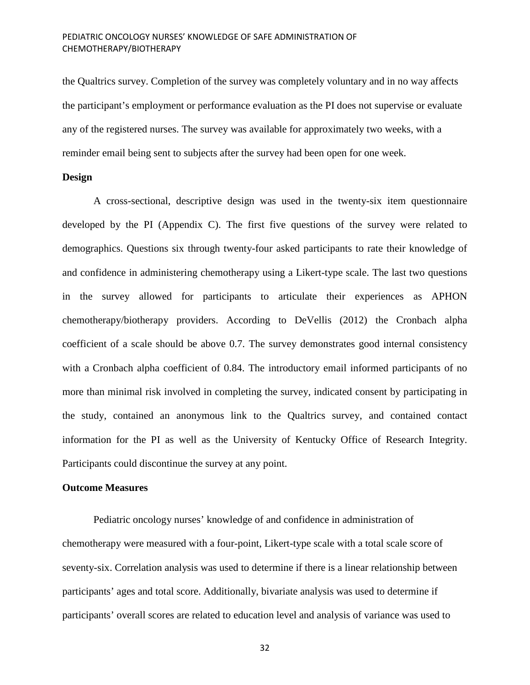the Qualtrics survey. Completion of the survey was completely voluntary and in no way affects the participant's employment or performance evaluation as the PI does not supervise or evaluate any of the registered nurses. The survey was available for approximately two weeks, with a reminder email being sent to subjects after the survey had been open for one week.

# **Design**

A cross-sectional, descriptive design was used in the twenty-six item questionnaire developed by the PI (Appendix C). The first five questions of the survey were related to demographics. Questions six through twenty-four asked participants to rate their knowledge of and confidence in administering chemotherapy using a Likert-type scale. The last two questions in the survey allowed for participants to articulate their experiences as APHON chemotherapy/biotherapy providers. According to DeVellis (2012) the Cronbach alpha coefficient of a scale should be above 0.7. The survey demonstrates good internal consistency with a Cronbach alpha coefficient of 0.84. The introductory email informed participants of no more than minimal risk involved in completing the survey, indicated consent by participating in the study, contained an anonymous link to the Qualtrics survey, and contained contact information for the PI as well as the University of Kentucky Office of Research Integrity. Participants could discontinue the survey at any point.

# **Outcome Measures**

Pediatric oncology nurses' knowledge of and confidence in administration of chemotherapy were measured with a four-point, Likert-type scale with a total scale score of seventy-six. Correlation analysis was used to determine if there is a linear relationship between participants' ages and total score. Additionally, bivariate analysis was used to determine if participants' overall scores are related to education level and analysis of variance was used to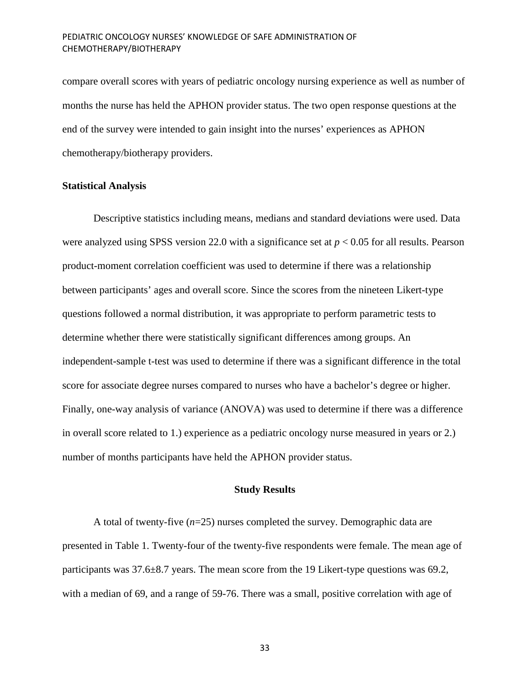compare overall scores with years of pediatric oncology nursing experience as well as number of months the nurse has held the APHON provider status. The two open response questions at the end of the survey were intended to gain insight into the nurses' experiences as APHON chemotherapy/biotherapy providers.

## **Statistical Analysis**

Descriptive statistics including means, medians and standard deviations were used. Data were analyzed using SPSS version 22.0 with a significance set at *p* < 0.05 for all results. Pearson product-moment correlation coefficient was used to determine if there was a relationship between participants' ages and overall score. Since the scores from the nineteen Likert-type questions followed a normal distribution, it was appropriate to perform parametric tests to determine whether there were statistically significant differences among groups. An independent-sample t-test was used to determine if there was a significant difference in the total score for associate degree nurses compared to nurses who have a bachelor's degree or higher. Finally, one-way analysis of variance (ANOVA) was used to determine if there was a difference in overall score related to 1.) experience as a pediatric oncology nurse measured in years or 2.) number of months participants have held the APHON provider status.

# **Study Results**

A total of twenty-five (*n*=25) nurses completed the survey. Demographic data are presented in Table 1. Twenty-four of the twenty-five respondents were female. The mean age of participants was 37.6±8.7 years. The mean score from the 19 Likert-type questions was 69.2, with a median of 69, and a range of 59-76. There was a small, positive correlation with age of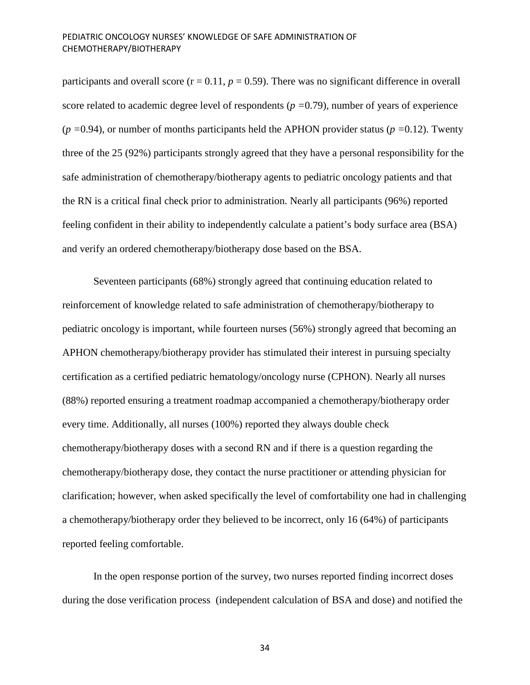participants and overall score  $(r = 0.11, p = 0.59)$ . There was no significant difference in overall score related to academic degree level of respondents (*p =*0.79), number of years of experience (*p =*0.94), or number of months participants held the APHON provider status (*p =*0.12). Twenty three of the 25 (92%) participants strongly agreed that they have a personal responsibility for the safe administration of chemotherapy/biotherapy agents to pediatric oncology patients and that the RN is a critical final check prior to administration. Nearly all participants (96%) reported feeling confident in their ability to independently calculate a patient's body surface area (BSA) and verify an ordered chemotherapy/biotherapy dose based on the BSA.

Seventeen participants (68%) strongly agreed that continuing education related to reinforcement of knowledge related to safe administration of chemotherapy/biotherapy to pediatric oncology is important, while fourteen nurses (56%) strongly agreed that becoming an APHON chemotherapy/biotherapy provider has stimulated their interest in pursuing specialty certification as a certified pediatric hematology/oncology nurse (CPHON). Nearly all nurses (88%) reported ensuring a treatment roadmap accompanied a chemotherapy/biotherapy order every time. Additionally, all nurses (100%) reported they always double check chemotherapy/biotherapy doses with a second RN and if there is a question regarding the chemotherapy/biotherapy dose, they contact the nurse practitioner or attending physician for clarification; however, when asked specifically the level of comfortability one had in challenging a chemotherapy/biotherapy order they believed to be incorrect, only 16 (64%) of participants reported feeling comfortable.

In the open response portion of the survey, two nurses reported finding incorrect doses during the dose verification process (independent calculation of BSA and dose) and notified the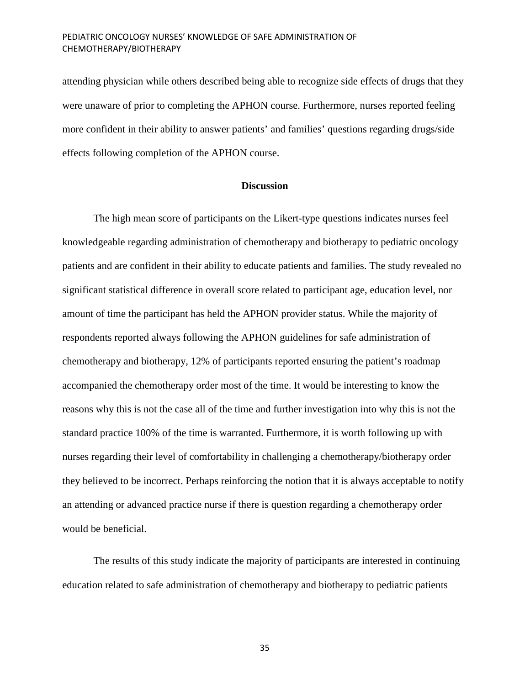attending physician while others described being able to recognize side effects of drugs that they were unaware of prior to completing the APHON course. Furthermore, nurses reported feeling more confident in their ability to answer patients' and families' questions regarding drugs/side effects following completion of the APHON course.

## **Discussion**

The high mean score of participants on the Likert-type questions indicates nurses feel knowledgeable regarding administration of chemotherapy and biotherapy to pediatric oncology patients and are confident in their ability to educate patients and families. The study revealed no significant statistical difference in overall score related to participant age, education level, nor amount of time the participant has held the APHON provider status. While the majority of respondents reported always following the APHON guidelines for safe administration of chemotherapy and biotherapy, 12% of participants reported ensuring the patient's roadmap accompanied the chemotherapy order most of the time. It would be interesting to know the reasons why this is not the case all of the time and further investigation into why this is not the standard practice 100% of the time is warranted. Furthermore, it is worth following up with nurses regarding their level of comfortability in challenging a chemotherapy/biotherapy order they believed to be incorrect. Perhaps reinforcing the notion that it is always acceptable to notify an attending or advanced practice nurse if there is question regarding a chemotherapy order would be beneficial.

The results of this study indicate the majority of participants are interested in continuing education related to safe administration of chemotherapy and biotherapy to pediatric patients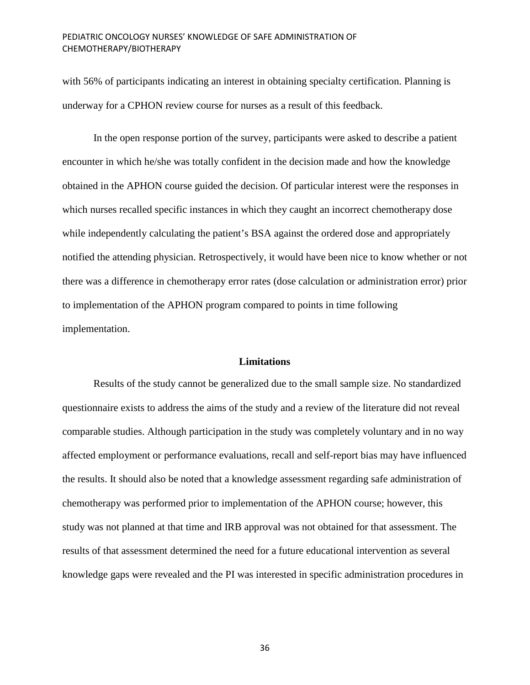with 56% of participants indicating an interest in obtaining specialty certification. Planning is underway for a CPHON review course for nurses as a result of this feedback.

In the open response portion of the survey, participants were asked to describe a patient encounter in which he/she was totally confident in the decision made and how the knowledge obtained in the APHON course guided the decision. Of particular interest were the responses in which nurses recalled specific instances in which they caught an incorrect chemotherapy dose while independently calculating the patient's BSA against the ordered dose and appropriately notified the attending physician. Retrospectively, it would have been nice to know whether or not there was a difference in chemotherapy error rates (dose calculation or administration error) prior to implementation of the APHON program compared to points in time following implementation.

# **Limitations**

Results of the study cannot be generalized due to the small sample size. No standardized questionnaire exists to address the aims of the study and a review of the literature did not reveal comparable studies. Although participation in the study was completely voluntary and in no way affected employment or performance evaluations, recall and self-report bias may have influenced the results. It should also be noted that a knowledge assessment regarding safe administration of chemotherapy was performed prior to implementation of the APHON course; however, this study was not planned at that time and IRB approval was not obtained for that assessment. The results of that assessment determined the need for a future educational intervention as several knowledge gaps were revealed and the PI was interested in specific administration procedures in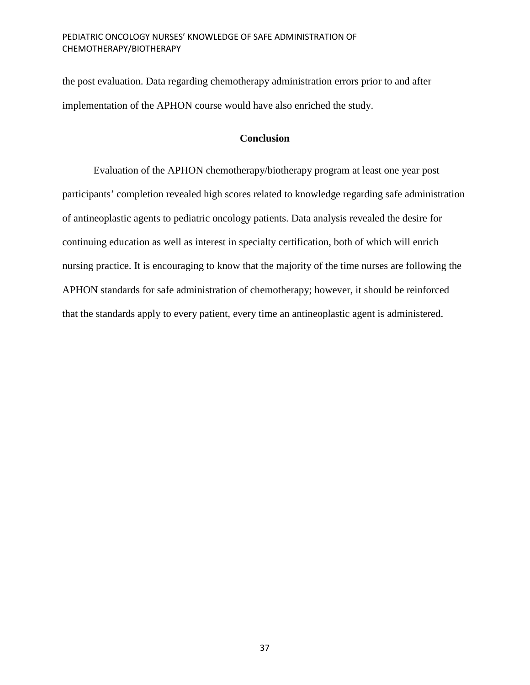the post evaluation. Data regarding chemotherapy administration errors prior to and after implementation of the APHON course would have also enriched the study.

# **Conclusion**

Evaluation of the APHON chemotherapy/biotherapy program at least one year post participants' completion revealed high scores related to knowledge regarding safe administration of antineoplastic agents to pediatric oncology patients. Data analysis revealed the desire for continuing education as well as interest in specialty certification, both of which will enrich nursing practice. It is encouraging to know that the majority of the time nurses are following the APHON standards for safe administration of chemotherapy; however, it should be reinforced that the standards apply to every patient, every time an antineoplastic agent is administered.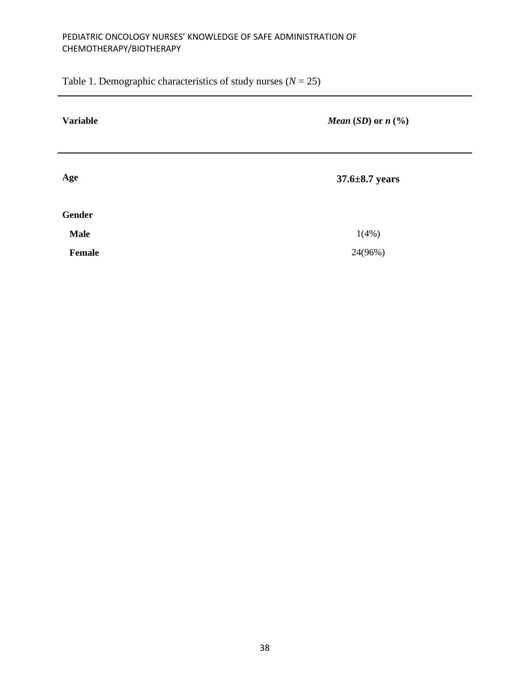Table 1. Demographic characteristics of study nurses  $(N = 25)$ 

| <b>Variable</b> | <i>Mean</i> ( <i>SD</i> ) or $n$ (%) |
|-----------------|--------------------------------------|
| Age             | $37.6 \pm 8.7$ years                 |
| <b>Gender</b>   |                                      |
| <b>Male</b>     | 1(4%)                                |
| Female          | 24(96%)                              |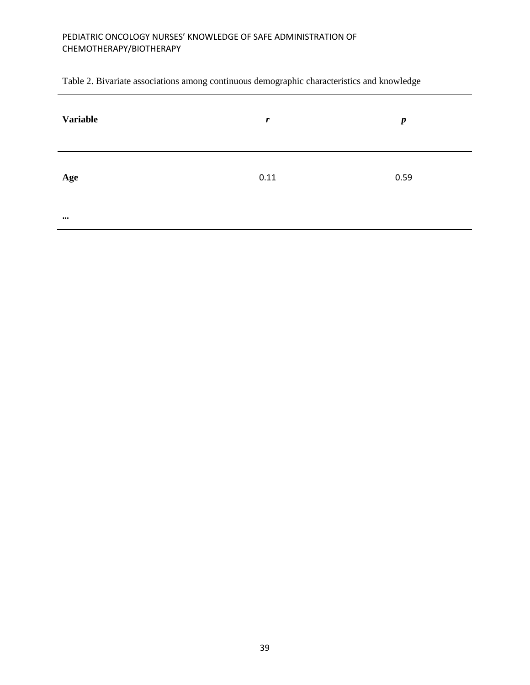Table 2. Bivariate associations among continuous demographic characteristics and knowledge

| <b>Variable</b> | $\boldsymbol{r}$ | $\boldsymbol{p}$ |
|-----------------|------------------|------------------|
| Age             | 0.11             | 0.59             |
| $\cdots$        |                  |                  |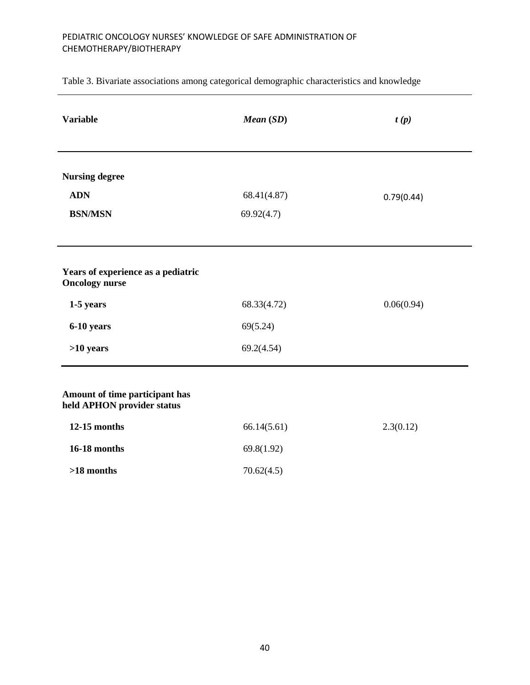Table 3. Bivariate associations among categorical demographic characteristics and knowledge

| <b>Variable</b>                                              | Mean (SD)                 | t(p)       |
|--------------------------------------------------------------|---------------------------|------------|
| <b>Nursing degree</b><br><b>ADN</b><br><b>BSN/MSN</b>        | 68.41(4.87)<br>69.92(4.7) | 0.79(0.44) |
|                                                              |                           |            |
| Years of experience as a pediatric<br><b>Oncology nurse</b>  |                           |            |
| 1-5 years                                                    | 68.33(4.72)               | 0.06(0.94) |
| 6-10 years                                                   | 69(5.24)                  |            |
| $>10$ years                                                  | 69.2(4.54)                |            |
| Amount of time participant has<br>held APHON provider status |                           |            |
| 12-15 months                                                 | 66.14(5.61)               | 2.3(0.12)  |
| 16-18 months                                                 | 69.8(1.92)                |            |
| $>18$ months                                                 | 70.62(4.5)                |            |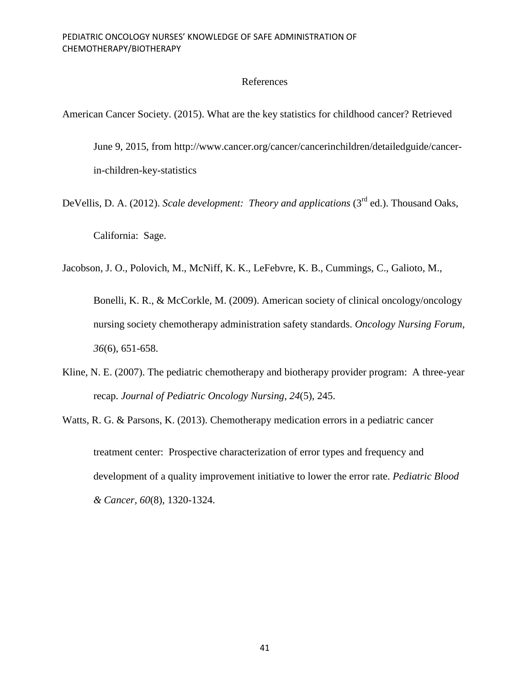# References

American Cancer Society. (2015). What are the key statistics for childhood cancer? Retrieved

June 9, 2015, from http://www.cancer.org/cancer/cancerinchildren/detailedguide/cancerin-children-key-statistics

DeVellis, D. A. (2012). *Scale development: Theory and applications* (3<sup>rd</sup> ed.). Thousand Oaks, California: Sage.

Jacobson, J. O., Polovich, M., McNiff, K. K., LeFebvre, K. B., Cummings, C., Galioto, M.,

Bonelli, K. R., & McCorkle, M. (2009). American society of clinical oncology/oncology nursing society chemotherapy administration safety standards. *Oncology Nursing Forum, 36*(6), 651-658.

- Kline, N. E. (2007). The pediatric chemotherapy and biotherapy provider program: A three-year recap. *Journal of Pediatric Oncology Nursing, 24*(5), 245.
- Watts, R. G. & Parsons, K. (2013). Chemotherapy medication errors in a pediatric cancer treatment center: Prospective characterization of error types and frequency and development of a quality improvement initiative to lower the error rate. *Pediatric Blood & Cancer, 60*(8), 1320-1324.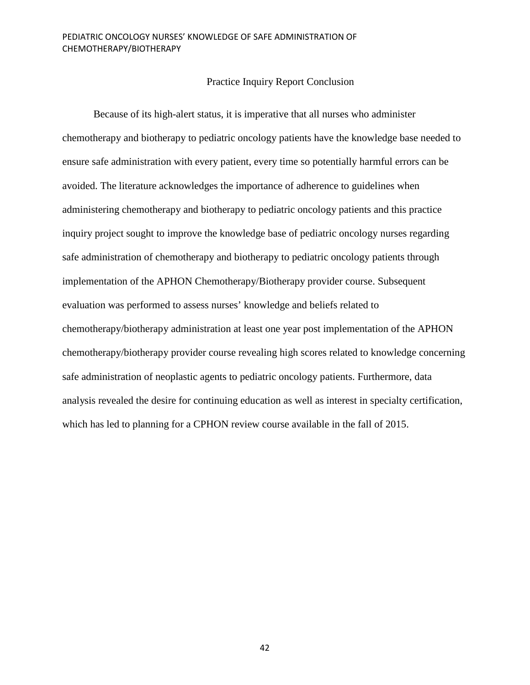# Practice Inquiry Report Conclusion

Because of its high-alert status, it is imperative that all nurses who administer chemotherapy and biotherapy to pediatric oncology patients have the knowledge base needed to ensure safe administration with every patient, every time so potentially harmful errors can be avoided. The literature acknowledges the importance of adherence to guidelines when administering chemotherapy and biotherapy to pediatric oncology patients and this practice inquiry project sought to improve the knowledge base of pediatric oncology nurses regarding safe administration of chemotherapy and biotherapy to pediatric oncology patients through implementation of the APHON Chemotherapy/Biotherapy provider course. Subsequent evaluation was performed to assess nurses' knowledge and beliefs related to chemotherapy/biotherapy administration at least one year post implementation of the APHON chemotherapy/biotherapy provider course revealing high scores related to knowledge concerning safe administration of neoplastic agents to pediatric oncology patients. Furthermore, data analysis revealed the desire for continuing education as well as interest in specialty certification, which has led to planning for a CPHON review course available in the fall of 2015.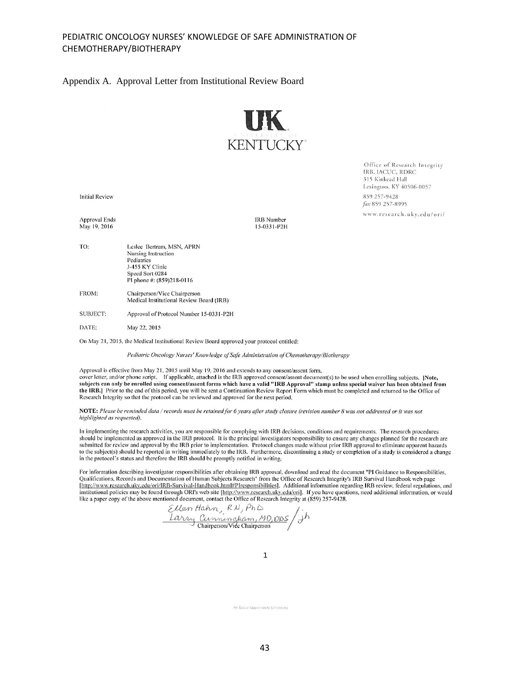#### Appendix A. Approval Letter from Institutional Review Board



IRB, IACUC, RDRC 315 Kinkead Hall Lexington, KY 40506-0057 859 257-9428 fax 859 257-8995 www.research.uky.edu/ori/

Office of Research Integrity

**Initial Review** 

Approval Ends May 19, 2016

**IRB** Number 15-0331-P2H

- TO: Leslee Bertram, MSN, APRN Nursing Instruction Pediatrics J-455 KY Clinic Speed Sort 0284 PI phone #: (859)218-0116
- FROM: Chairperson/Vice Chairperson Medical Institutional Review Board (IRB)
- **SUBJECT:** Approval of Protocol Number 15-0331-P2H

DATE: May 22, 2015

On May 21, 2015, the Medical Institutional Review Board approved your protocol entitled:

Pediatric Oncology Nurses' Knowledge of Safe Administration of Chemotherapy/Biotherapy

Approval is effective from May 21, 2015 until May 19, 2016 and extends to any consent/assent form, cover letter, and/or phone script. If applicable, attached is the IRB approved consent/assent document(s) to be used when enrolling subjects. [Note, subjects can only be enrolled using consent/assent forms which have a valid "IRB Approval" stamp unless special waiver has been obtained from the IRB.] Prior to the end of this period, you will be sent a Continuation Review Report Form which must be completed and returned to the Office of Research Integrity so that the protocol can be reviewed and approved for the next period.

NOTE: Please be reminded data / records must be retained for 6 years after study closure (revision number 8 was not addressed or it was not highlighted as requested).

In implementing the research activities, you are responsible for complying with IRB decisions, conditions and requirements. The research procedures should be implemented as approved in the IRB protocol. It is the principal investigators responsibility to ensure any changes planned for the research are submitted for review and approval by the IRB prior to implementation. Protocol changes made without prior IRB approval to eliminate apparent hazards to the subject(s) should be reported in writing immediately to the IRB. Furthermore, discontinuing a study or completion of a study is considered a change in the protocol's status and therefore the IRB should be promptly notified in writing.

For information describing investigator responsibilities after obtaining IRB approval, download and read the document "PI Guidance to Responsibilities, Qualifications, Records and Documentation of Human Subjects Research" from the Office of Research Integrity's IRB Survival Handbook web page [http://www.research.uky.edu/ori/IRB-Survival-Handbook.html#PIresponsibilities]. Additional information regarding IRB review, federal regulations, and institutional policies may be found through ORI's web site [http://www.research.uky.edu/ori]. If you have questions, need additional information, or would like a paper copy of the above mentioned document, contact the Offi

Ellen Hahn, RN, Ph.D.<br>Ellen Hahn, RN, Ph.D.<br>Larry Cunningham, MD, ODS

An Equal Opportunity University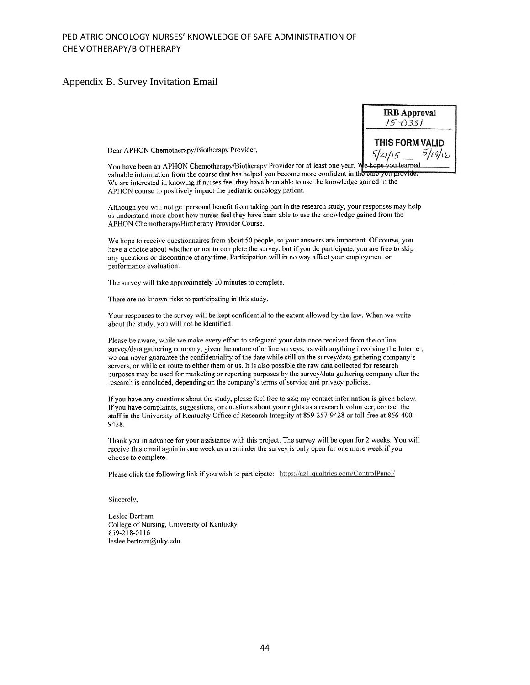# Appendix B. Survey Invitation Email

| <b>IRB Approval</b><br>$15 - 0331$ |
|------------------------------------|
| THIS FORM VALID                    |
| 5/19/16                            |

Dear APHON Chemotherapy/Biotherapy Provider,

You have been an APHON Chemotherapy/Biotherapy Provider for at least one year. W valuable information from the course that has helped you become more confident in the care you provide. We are interested in knowing if nurses feel they have been able to use the knowledge gained in the APHON course to positively impact the pediatric oncology patient.

Although you will not get personal benefit from taking part in the research study, your responses may help us understand more about how nurses feel they have been able to use the knowledge gained from the APHON Chemotherapy/Biotherapy Provider Course.

We hope to receive questionnaires from about 50 people, so your answers are important. Of course, you have a choice about whether or not to complete the survey, but if you do participate, you are free to skip any questions or discontinue at any time. Participation will in no way affect your employment or performance evaluation.

The survey will take approximately 20 minutes to complete.

There are no known risks to participating in this study.

Your responses to the survey will be kept confidential to the extent allowed by the law. When we write about the study, you will not be identified.

Please be aware, while we make every effort to safeguard your data once received from the online survey/data gathering company, given the nature of online surveys, as with anything involving the Internet, we can never guarantee the confidentiality of the date while still on the survey/data gathering company's servers, or while en route to either them or us. It is also possible the raw data collected for research purposes may be used for marketing or reporting purposes by the survey/data gathering company after the research is concluded, depending on the company's terms of service and privacy policies.

If you have any questions about the study, please feel free to ask; my contact information is given below. If you have complaints, suggestions, or questions about your rights as a research volunteer, contact the staff in the University of Kentucky Office of Research Integrity at 859-257-9428 or toll-free at 866-400-9428.

Thank you in advance for your assistance with this project. The survey will be open for 2 weeks. You will receive this email again in one week as a reminder the survey is only open for one more week if you choose to complete.

Please click the following link if you wish to participate: https://az1.qualtrics.com/ControlPanel/

Sincerely,

Leslee Bertram College of Nursing, University of Kentucky 859-218-0116 leslee.bertram@uky.edu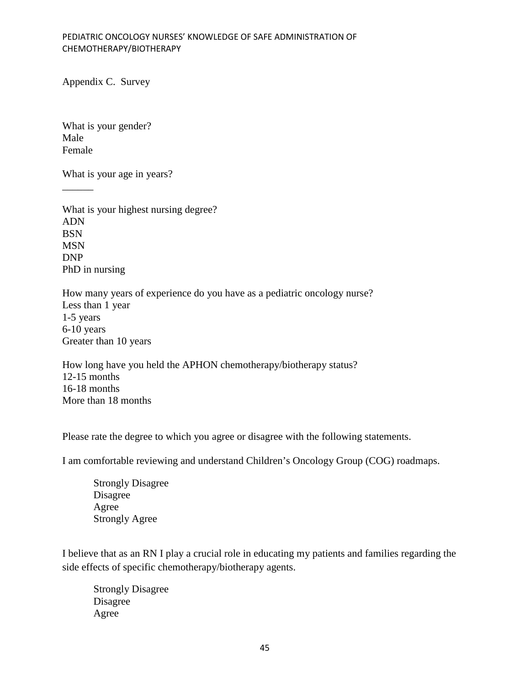Appendix C. Survey

What is your gender? Male Female

 $\overline{\phantom{a}}$ 

What is your age in years?

What is your highest nursing degree? ADN BSN MSN DNP PhD in nursing

How many years of experience do you have as a pediatric oncology nurse? Less than 1 year 1-5 years 6-10 years Greater than 10 years

How long have you held the APHON chemotherapy/biotherapy status? 12-15 months 16-18 months More than 18 months

Please rate the degree to which you agree or disagree with the following statements.

I am comfortable reviewing and understand Children's Oncology Group (COG) roadmaps.

Strongly Disagree Disagree Agree Strongly Agree

I believe that as an RN I play a crucial role in educating my patients and families regarding the side effects of specific chemotherapy/biotherapy agents.

Strongly Disagree Disagree Agree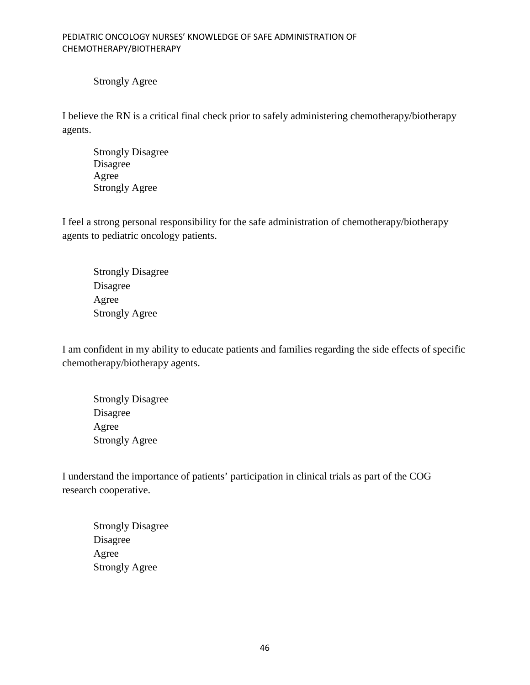Strongly Agree

I believe the RN is a critical final check prior to safely administering chemotherapy/biotherapy agents.

Strongly Disagree Disagree Agree Strongly Agree

I feel a strong personal responsibility for the safe administration of chemotherapy/biotherapy agents to pediatric oncology patients.

Strongly Disagree Disagree Agree Strongly Agree

I am confident in my ability to educate patients and families regarding the side effects of specific chemotherapy/biotherapy agents.

Strongly Disagree Disagree Agree Strongly Agree

I understand the importance of patients' participation in clinical trials as part of the COG research cooperative.

Strongly Disagree Disagree Agree Strongly Agree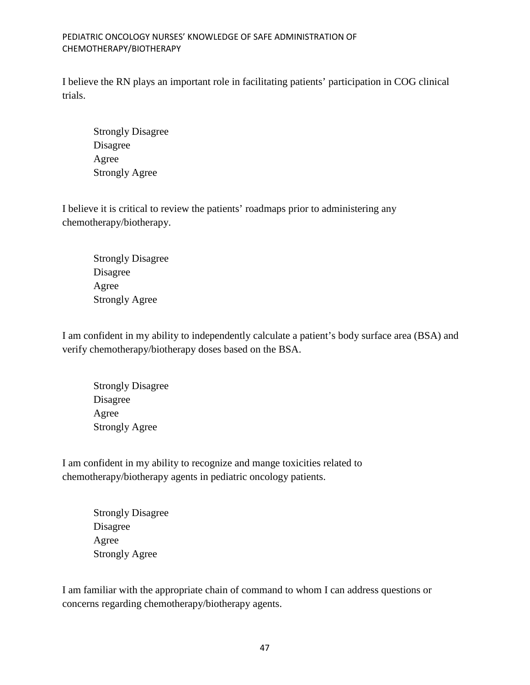I believe the RN plays an important role in facilitating patients' participation in COG clinical trials.

Strongly Disagree Disagree Agree Strongly Agree

I believe it is critical to review the patients' roadmaps prior to administering any chemotherapy/biotherapy.

Strongly Disagree Disagree Agree Strongly Agree

I am confident in my ability to independently calculate a patient's body surface area (BSA) and verify chemotherapy/biotherapy doses based on the BSA.

Strongly Disagree Disagree Agree Strongly Agree

I am confident in my ability to recognize and mange toxicities related to chemotherapy/biotherapy agents in pediatric oncology patients.

> Strongly Disagree Disagree Agree Strongly Agree

I am familiar with the appropriate chain of command to whom I can address questions or concerns regarding chemotherapy/biotherapy agents.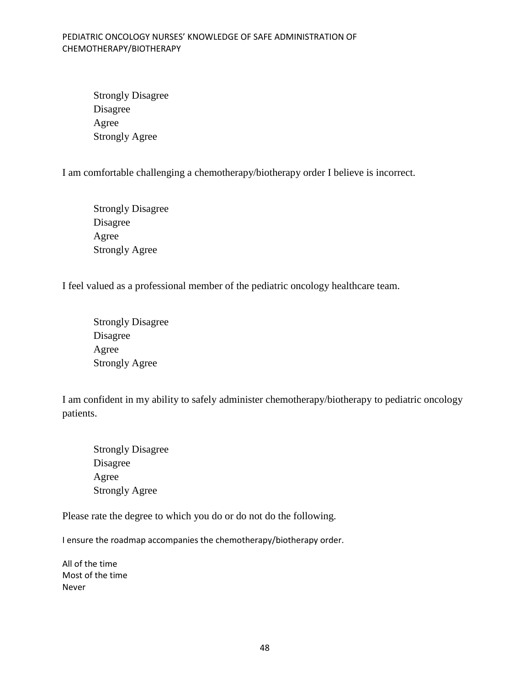Strongly Disagree Disagree Agree Strongly Agree

I am comfortable challenging a chemotherapy/biotherapy order I believe is incorrect.

Strongly Disagree Disagree Agree Strongly Agree

I feel valued as a professional member of the pediatric oncology healthcare team.

Strongly Disagree Disagree Agree Strongly Agree

I am confident in my ability to safely administer chemotherapy/biotherapy to pediatric oncology patients.

Strongly Disagree Disagree Agree Strongly Agree

Please rate the degree to which you do or do not do the following.

I ensure the roadmap accompanies the chemotherapy/biotherapy order.

All of the time Most of the time Never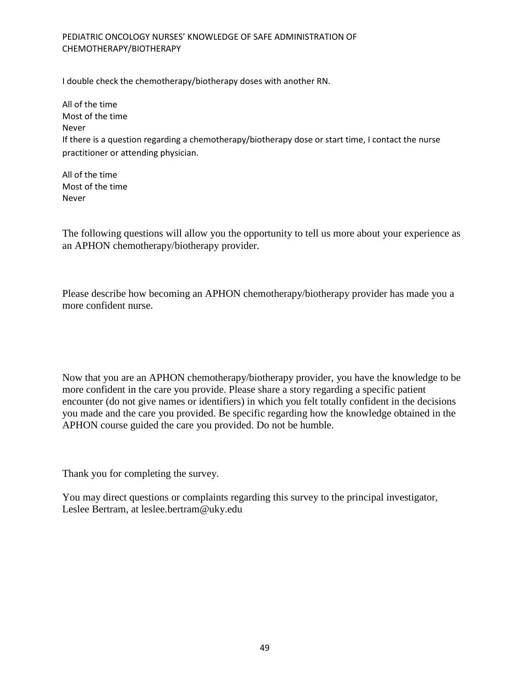I double check the chemotherapy/biotherapy doses with another RN.

All of the time Most of the time Never If there is a question regarding a chemotherapy/biotherapy dose or start time, I contact the nurse practitioner or attending physician.

All of the time Most of the time Never

The following questions will allow you the opportunity to tell us more about your experience as an APHON chemotherapy/biotherapy provider.

Please describe how becoming an APHON chemotherapy/biotherapy provider has made you a more confident nurse.

Now that you are an APHON chemotherapy/biotherapy provider, you have the knowledge to be more confident in the care you provide. Please share a story regarding a specific patient encounter (do not give names or identifiers) in which you felt totally confident in the decisions you made and the care you provided. Be specific regarding how the knowledge obtained in the APHON course guided the care you provided. Do not be humble.

Thank you for completing the survey.

You may direct questions or complaints regarding this survey to the principal investigator, Leslee Bertram, at leslee.bertram@uky.edu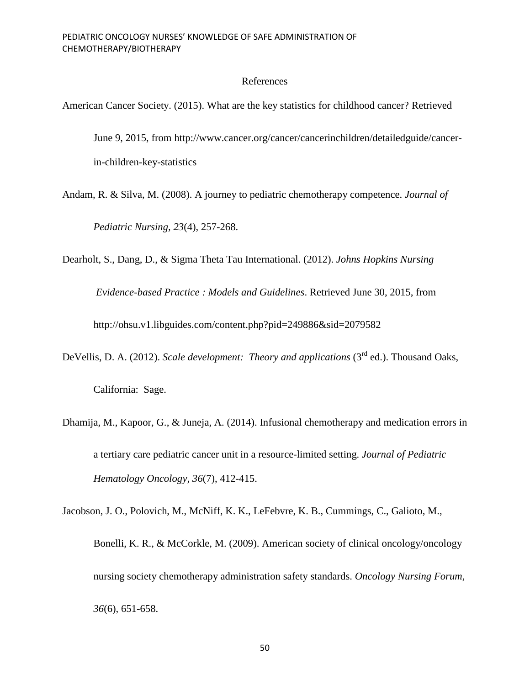# References

American Cancer Society. (2015). What are the key statistics for childhood cancer? Retrieved

June 9, 2015, from http://www.cancer.org/cancer/cancerinchildren/detailedguide/cancerin-children-key-statistics

Andam, R. & Silva, M. (2008). A journey to pediatric chemotherapy competence. *Journal of Pediatric Nursing, 23*(4), 257-268.

Dearholt, S., Dang, D., & Sigma Theta Tau International. (2012). *Johns Hopkins Nursing*

*Evidence-based Practice : Models and Guidelines*. Retrieved June 30, 2015, from

http://ohsu.v1.libguides.com/content.php?pid=249886&sid=2079582

DeVellis, D. A. (2012). *Scale development: Theory and applications* (3<sup>rd</sup> ed.). Thousand Oaks,

California: Sage.

Dhamija, M., Kapoor, G., & Juneja, A. (2014). Infusional chemotherapy and medication errors in a tertiary care pediatric cancer unit in a resource-limited setting. *Journal of Pediatric Hematology Oncology, 36*(7), 412-415.

Jacobson, J. O., Polovich, M., McNiff, K. K., LeFebvre, K. B., Cummings, C., Galioto, M., Bonelli, K. R., & McCorkle, M. (2009). American society of clinical oncology/oncology nursing society chemotherapy administration safety standards. *Oncology Nursing Forum, 36*(6), 651-658.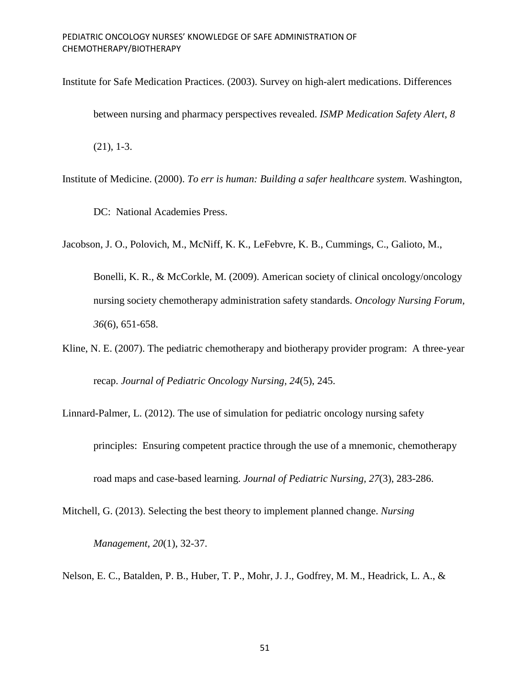- Institute for Safe Medication Practices. (2003). Survey on high-alert medications. Differences between nursing and pharmacy perspectives revealed. *ISMP Medication Safety Alert, 8* (21), 1-3.
- Institute of Medicine. (2000). *To err is human: Building a safer healthcare system.* Washington,

DC: National Academies Press.

Jacobson, J. O., Polovich, M., McNiff, K. K., LeFebvre, K. B., Cummings, C., Galioto, M.,

Bonelli, K. R., & McCorkle, M. (2009). American society of clinical oncology/oncology nursing society chemotherapy administration safety standards. *Oncology Nursing Forum, 36*(6), 651-658.

- Kline, N. E. (2007). The pediatric chemotherapy and biotherapy provider program: A three-year recap. *Journal of Pediatric Oncology Nursing, 24*(5), 245.
- Linnard-Palmer, L. (2012). The use of simulation for pediatric oncology nursing safety principles: Ensuring competent practice through the use of a mnemonic, chemotherapy road maps and case-based learning. *Journal of Pediatric Nursing, 27*(3), 283-286.
- Mitchell, G. (2013). Selecting the best theory to implement planned change. *Nursing Management, 20*(1), 32-37.

Nelson, E. C., Batalden, P. B., Huber, T. P., Mohr, J. J., Godfrey, M. M., Headrick, L. A., &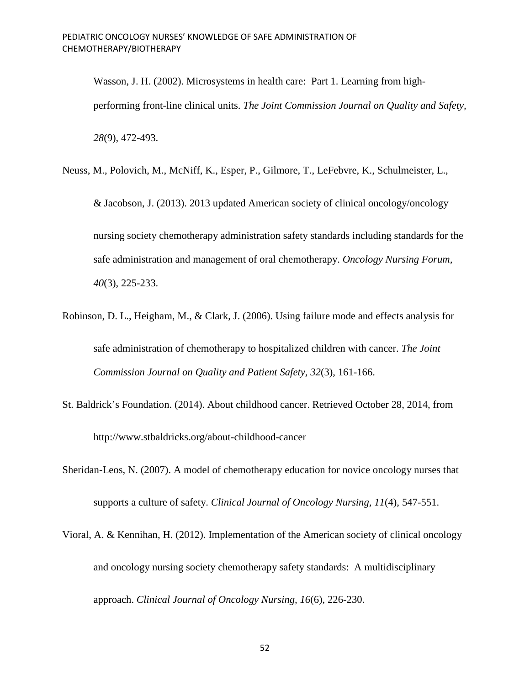Wasson, J. H. (2002). Microsystems in health care: Part 1. Learning from highperforming front-line clinical units. *The Joint Commission Journal on Quality and Safety, 28*(9), 472-493.

Neuss, M., Polovich, M., McNiff, K., Esper, P., Gilmore, T., LeFebvre, K., Schulmeister, L.,

& Jacobson, J. (2013). 2013 updated American society of clinical oncology/oncology nursing society chemotherapy administration safety standards including standards for the safe administration and management of oral chemotherapy. *Oncology Nursing Forum, 40*(3), 225-233.

- Robinson, D. L., Heigham, M., & Clark, J. (2006). Using failure mode and effects analysis for safe administration of chemotherapy to hospitalized children with cancer. *The Joint Commission Journal on Quality and Patient Safety, 32*(3), 161-166.
- St. Baldrick's Foundation. (2014). About childhood cancer. Retrieved October 28, 2014, from http://www.stbaldricks.org/about-childhood-cancer
- Sheridan-Leos, N. (2007). A model of chemotherapy education for novice oncology nurses that supports a culture of safety. *Clinical Journal of Oncology Nursing, 11*(4), 547-551.
- Vioral, A. & Kennihan, H. (2012). Implementation of the American society of clinical oncology and oncology nursing society chemotherapy safety standards: A multidisciplinary approach. *Clinical Journal of Oncology Nursing, 16*(6), 226-230.